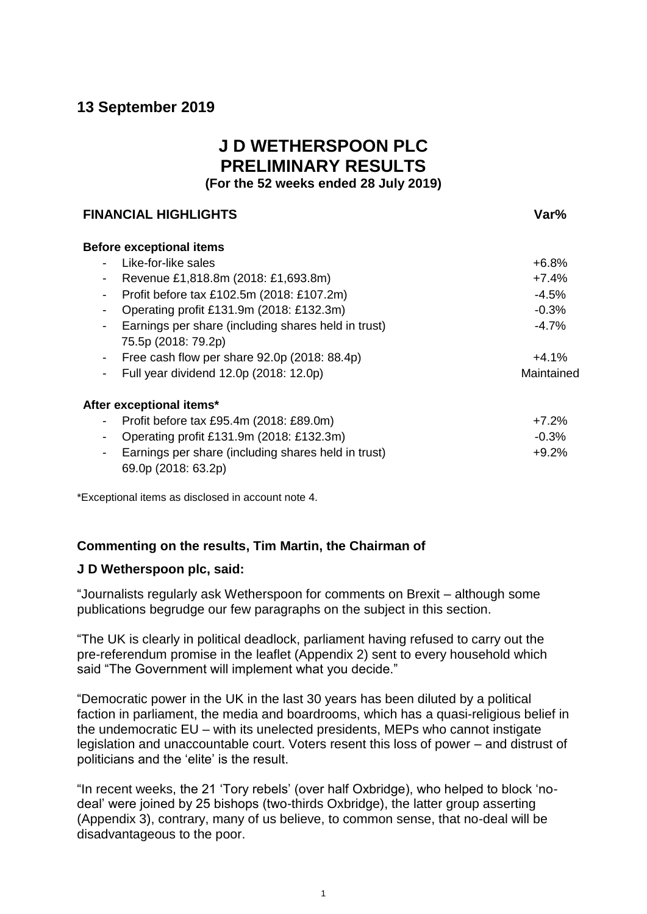# **13 September 2019**

# **J D WETHERSPOON PLC PRELIMINARY RESULTS**

**(For the 52 weeks ended 28 July 2019)**

# **FINANCIAL HIGHLIGHTS Var%**

| <b>Before exceptional items</b>                                  |            |
|------------------------------------------------------------------|------------|
| Like-for-like sales                                              | $+6.8%$    |
| Revenue £1,818.8m (2018: £1,693.8m)<br>-                         | $+7.4%$    |
| Profit before tax £102.5m (2018: £107.2m)<br>۰.                  | $-4.5%$    |
| Operating profit £131.9m (2018: £132.3m)<br>۰.                   | $-0.3%$    |
| Earnings per share (including shares held in trust)<br>۰.        | $-4.7%$    |
| 75.5p (2018: 79.2p)                                              |            |
| Free cash flow per share $92.0p$ (2018: 88.4p)<br>$\blacksquare$ | $+4.1%$    |
| Full year dividend 12.0p (2018: 12.0p)<br>Ξ.                     | Maintained |
| After exceptional items*                                         |            |
| Profit before tax £95.4m (2018: £89.0m)<br>-                     | $+7.2%$    |
| Operating profit £131.9m (2018: £132.3m)<br>-                    | $-0.3%$    |
| Earnings per share (including shares held in trust)<br>-         | $+9.2%$    |
| 69.0p (2018: 63.2p)                                              |            |

\*Exceptional items as disclosed in account note 4.

# **Commenting on the results, Tim Martin, the Chairman of**

# **J D Wetherspoon plc, said:**

"Journalists regularly ask Wetherspoon for comments on Brexit – although some publications begrudge our few paragraphs on the subject in this section.

"The UK is clearly in political deadlock, parliament having refused to carry out the pre-referendum promise in the leaflet (Appendix 2) sent to every household which said "The Government will implement what you decide."

"Democratic power in the UK in the last 30 years has been diluted by a political faction in parliament, the media and boardrooms, which has a quasi-religious belief in the undemocratic EU – with its unelected presidents, MEPs who cannot instigate legislation and unaccountable court. Voters resent this loss of power – and distrust of politicians and the 'elite' is the result.

"In recent weeks, the 21 'Tory rebels' (over half Oxbridge), who helped to block 'nodeal' were joined by 25 bishops (two-thirds Oxbridge), the latter group asserting (Appendix 3), contrary, many of us believe, to common sense, that no-deal will be disadvantageous to the poor.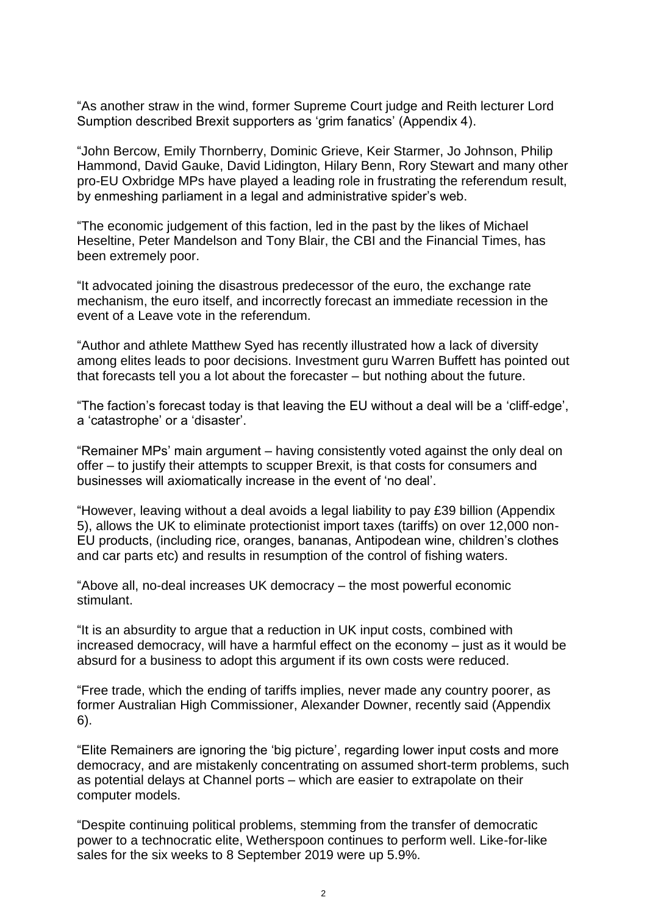"As another straw in the wind, former Supreme Court judge and Reith lecturer Lord Sumption described Brexit supporters as 'grim fanatics' (Appendix 4).

"John Bercow, Emily Thornberry, Dominic Grieve, Keir Starmer, Jo Johnson, Philip Hammond, David Gauke, David Lidington, Hilary Benn, Rory Stewart and many other pro-EU Oxbridge MPs have played a leading role in frustrating the referendum result, by enmeshing parliament in a legal and administrative spider's web.

"The economic judgement of this faction, led in the past by the likes of Michael Heseltine, Peter Mandelson and Tony Blair, the CBI and the Financial Times, has been extremely poor.

"It advocated joining the disastrous predecessor of the euro, the exchange rate mechanism, the euro itself, and incorrectly forecast an immediate recession in the event of a Leave vote in the referendum.

"Author and athlete Matthew Syed has recently illustrated how a lack of diversity among elites leads to poor decisions. Investment guru Warren Buffett has pointed out that forecasts tell you a lot about the forecaster – but nothing about the future.

"The faction's forecast today is that leaving the EU without a deal will be a 'cliff-edge', a 'catastrophe' or a 'disaster'.

"Remainer MPs' main argument – having consistently voted against the only deal on offer – to justify their attempts to scupper Brexit, is that costs for consumers and businesses will axiomatically increase in the event of 'no deal'.

"However, leaving without a deal avoids a legal liability to pay £39 billion (Appendix 5), allows the UK to eliminate protectionist import taxes (tariffs) on over 12,000 non-EU products, (including rice, oranges, bananas, Antipodean wine, children's clothes and car parts etc) and results in resumption of the control of fishing waters.

"Above all, no-deal increases UK democracy – the most powerful economic stimulant.

"It is an absurdity to argue that a reduction in UK input costs, combined with increased democracy, will have a harmful effect on the economy – just as it would be absurd for a business to adopt this argument if its own costs were reduced.

"Free trade, which the ending of tariffs implies, never made any country poorer, as former Australian High Commissioner, Alexander Downer, recently said (Appendix 6).

"Elite Remainers are ignoring the 'big picture', regarding lower input costs and more democracy, and are mistakenly concentrating on assumed short-term problems, such as potential delays at Channel ports – which are easier to extrapolate on their computer models.

"Despite continuing political problems, stemming from the transfer of democratic power to a technocratic elite, Wetherspoon continues to perform well. Like-for-like sales for the six weeks to 8 September 2019 were up 5.9%.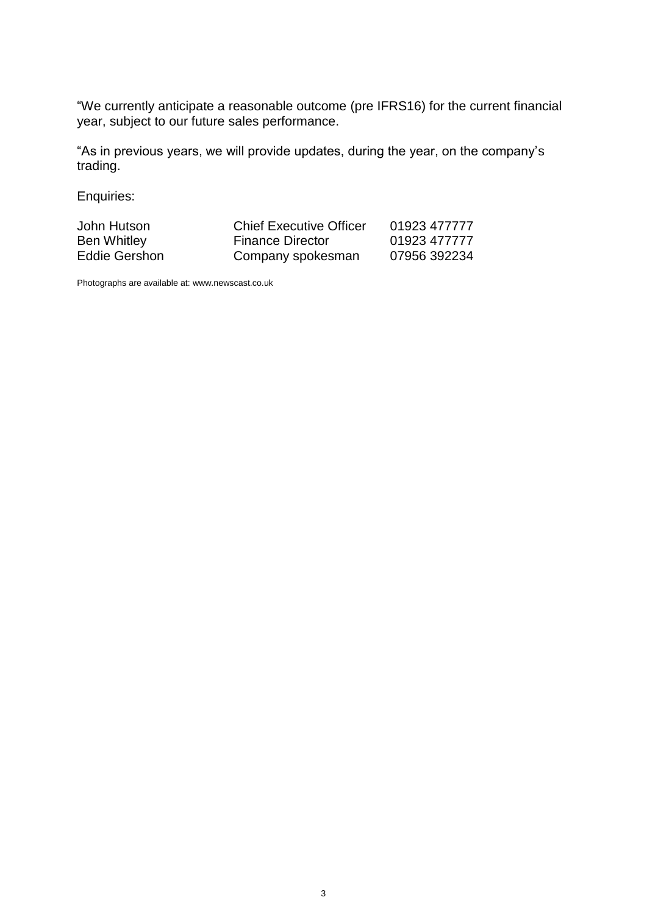"We currently anticipate a reasonable outcome (pre IFRS16) for the current financial year, subject to our future sales performance.

"As in previous years, we will provide updates, during the year, on the company's trading.

Enquiries:

| John Hutson        | <b>Chief Executive Officer</b> | 01923 477777 |
|--------------------|--------------------------------|--------------|
| <b>Ben Whitley</b> | <b>Finance Director</b>        | 01923 477777 |
| Eddie Gershon      | Company spokesman              | 07956 392234 |

Photographs are available at: www.newscast.co.uk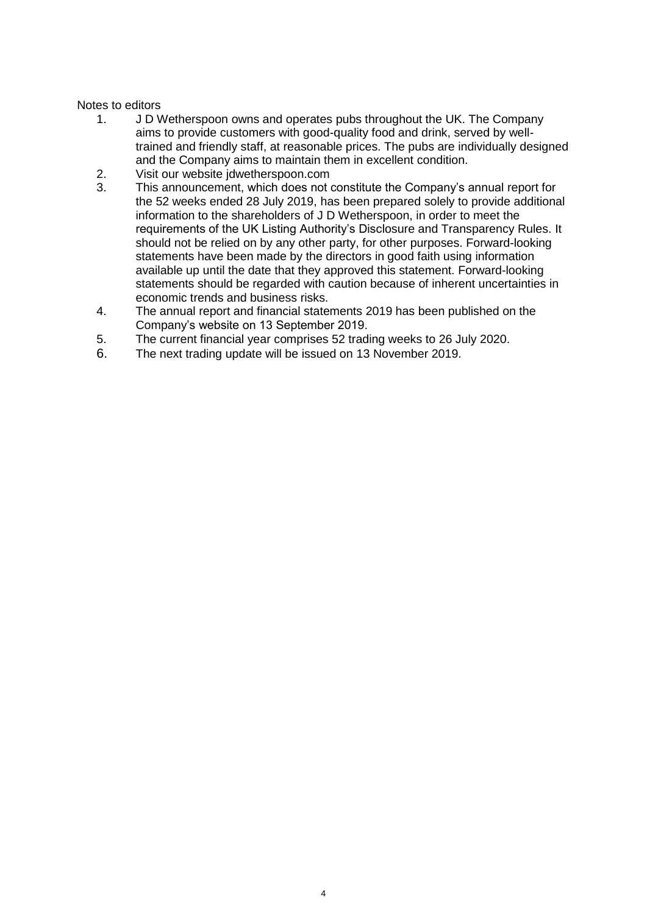# Notes to editors

- 1. J D Wetherspoon owns and operates pubs throughout the UK. The Company aims to provide customers with good-quality food and drink, served by welltrained and friendly staff, at reasonable prices. The pubs are individually designed and the Company aims to maintain them in excellent condition.
- 2. Visit our website jdwetherspoon.com
- 3. This announcement, which does not constitute the Company's annual report for the 52 weeks ended 28 July 2019, has been prepared solely to provide additional information to the shareholders of J D Wetherspoon, in order to meet the requirements of the UK Listing Authority's Disclosure and Transparency Rules. It should not be relied on by any other party, for other purposes. Forward-looking statements have been made by the directors in good faith using information available up until the date that they approved this statement. Forward-looking statements should be regarded with caution because of inherent uncertainties in economic trends and business risks.
- 4. The annual report and financial statements 2019 has been published on the Company's website on 13 September 2019.
- 5. The current financial year comprises 52 trading weeks to 26 July 2020.
- 6. The next trading update will be issued on 13 November 2019.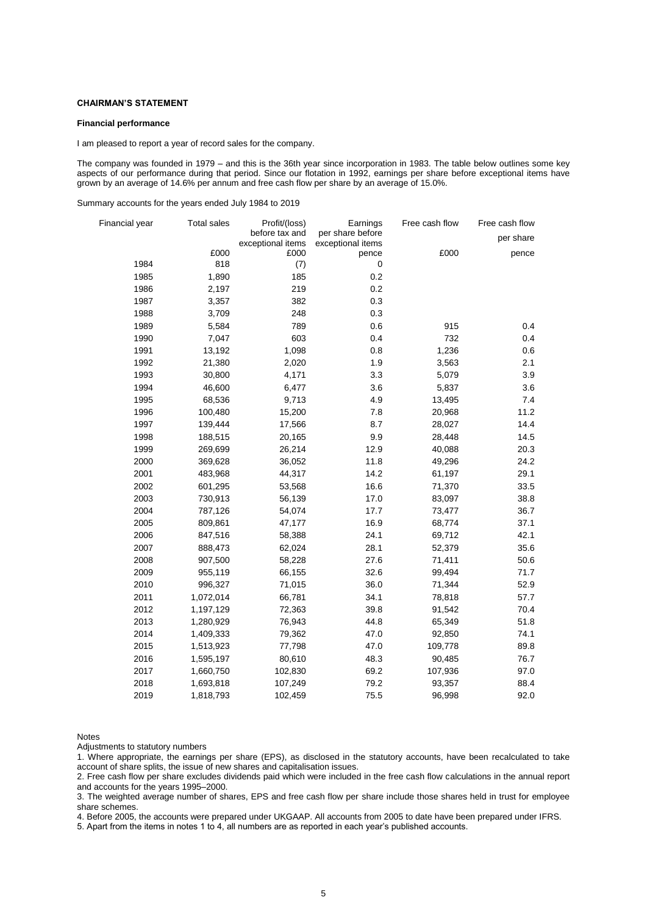#### **CHAIRMAN'S STATEMENT**

#### **Financial performance**

I am pleased to report a year of record sales for the company.

The company was founded in 1979 – and this is the 36th year since incorporation in 1983. The table below outlines some key aspects of our performance during that period. Since our flotation in 1992, earnings per share before exceptional items have grown by an average of 14.6% per annum and free cash flow per share by an average of 15.0%.

Summary accounts for the years ended July 1984 to 2019

| Financial year | <b>Total sales</b> | Profit/(loss)             | Earnings                   | Free cash flow | Free cash flow |
|----------------|--------------------|---------------------------|----------------------------|----------------|----------------|
|                |                    | before tax and            | per share before           |                | per share      |
|                | £000               | exceptional items<br>£000 | exceptional items<br>pence | £000           | pence          |
| 1984           | 818                | (7)                       | $\pmb{0}$                  |                |                |
| 1985           | 1,890              | 185                       | 0.2                        |                |                |
| 1986           | 2,197              | 219                       | 0.2                        |                |                |
| 1987           | 3,357              | 382                       | 0.3                        |                |                |
| 1988           | 3,709              | 248                       | 0.3                        |                |                |
| 1989           | 5,584              | 789                       | 0.6                        | 915            | 0.4            |
| 1990           | 7,047              | 603                       | 0.4                        | 732            | 0.4            |
| 1991           | 13,192             | 1,098                     | 0.8                        | 1,236          | 0.6            |
| 1992           | 21,380             | 2,020                     | 1.9                        | 3,563          | 2.1            |
| 1993           | 30,800             | 4,171                     | 3.3                        | 5,079          | 3.9            |
| 1994           | 46,600             | 6,477                     | 3.6                        | 5,837          | 3.6            |
| 1995           | 68,536             | 9,713                     | 4.9                        | 13,495         | 7.4            |
| 1996           | 100,480            | 15,200                    | 7.8                        | 20,968         | 11.2           |
| 1997           | 139,444            | 17,566                    | 8.7                        | 28,027         | 14.4           |
| 1998           | 188,515            | 20,165                    | 9.9                        | 28,448         | 14.5           |
| 1999           | 269,699            | 26,214                    | 12.9                       | 40,088         | 20.3           |
| 2000           | 369,628            | 36,052                    | 11.8                       | 49,296         | 24.2           |
| 2001           | 483,968            | 44,317                    | 14.2                       | 61,197         | 29.1           |
| 2002           | 601,295            | 53,568                    | 16.6                       | 71,370         | 33.5           |
| 2003           | 730,913            | 56,139                    | 17.0                       | 83,097         | 38.8           |
| 2004           | 787,126            | 54,074                    | 17.7                       | 73,477         | 36.7           |
| 2005           | 809,861            | 47,177                    | 16.9                       | 68,774         | 37.1           |
| 2006           | 847,516            | 58,388                    | 24.1                       | 69,712         | 42.1           |
| 2007           | 888,473            | 62,024                    | 28.1                       | 52,379         | 35.6           |
| 2008           | 907,500            | 58,228                    | 27.6                       | 71,411         | 50.6           |
| 2009           | 955,119            | 66,155                    | 32.6                       | 99,494         | 71.7           |
| 2010           | 996,327            | 71,015                    | 36.0                       | 71,344         | 52.9           |
| 2011           | 1,072,014          | 66,781                    | 34.1                       | 78,818         | 57.7           |
| 2012           | 1,197,129          | 72,363                    | 39.8                       | 91,542         | 70.4           |
| 2013           | 1,280,929          | 76,943                    | 44.8                       | 65,349         | 51.8           |
| 2014           | 1,409,333          | 79,362                    | 47.0                       | 92,850         | 74.1           |
| 2015           | 1,513,923          | 77,798                    | 47.0                       | 109,778        | 89.8           |
| 2016           | 1,595,197          | 80,610                    | 48.3                       | 90,485         | 76.7           |
| 2017           | 1,660,750          | 102,830                   | 69.2                       | 107,936        | 97.0           |
| 2018           | 1,693,818          | 107,249                   | 79.2                       | 93,357         | 88.4           |
| 2019           | 1,818,793          | 102,459                   | 75.5                       | 96,998         | 92.0           |

Notes

Adjustments to statutory numbers

1. Where appropriate, the earnings per share (EPS), as disclosed in the statutory accounts, have been recalculated to take account of share splits, the issue of new shares and capitalisation issues.

2. Free cash flow per share excludes dividends paid which were included in the free cash flow calculations in the annual report and accounts for the years 1995–2000.

3. The weighted average number of shares, EPS and free cash flow per share include those shares held in trust for employee share schemes.

4. Before 2005, the accounts were prepared under UKGAAP. All accounts from 2005 to date have been prepared under IFRS.

5. Apart from the items in notes 1 to 4, all numbers are as reported in each year's published accounts.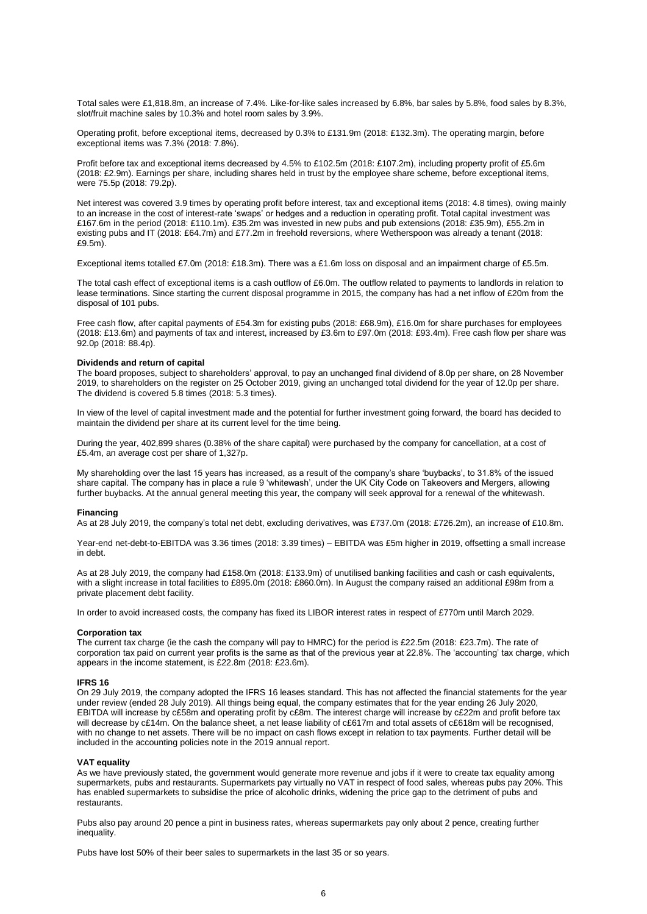Total sales were £1,818.8m, an increase of 7.4%. Like-for-like sales increased by 6.8%, bar sales by 5.8%, food sales by 8.3%, slot/fruit machine sales by 10.3% and hotel room sales by 3.9%.

Operating profit, before exceptional items, decreased by 0.3% to £131.9m (2018: £132.3m). The operating margin, before exceptional items was 7.3% (2018: 7.8%).

Profit before tax and exceptional items decreased by 4.5% to £102.5m (2018: £107.2m), including property profit of £5.6m (2018: £2.9m). Earnings per share, including shares held in trust by the employee share scheme, before exceptional items, were 75.5p (2018: 79.2p).

Net interest was covered 3.9 times by operating profit before interest, tax and exceptional items (2018: 4.8 times), owing mainly to an increase in the cost of interest-rate 'swaps' or hedges and a reduction in operating profit. Total capital investment was £167.6m in the period (2018: £110.1m). £35.2m was invested in new pubs and pub extensions (2018: £35.9m), £55.2m in existing pubs and IT (2018: £64.7m) and £77.2m in freehold reversions, where Wetherspoon was already a tenant (2018: £9.5m).

Exceptional items totalled £7.0m (2018: £18.3m). There was a £1.6m loss on disposal and an impairment charge of £5.5m.

The total cash effect of exceptional items is a cash outflow of £6.0m. The outflow related to payments to landlords in relation to lease terminations. Since starting the current disposal programme in 2015, the company has had a net inflow of £20m from the disposal of 101 pubs.

Free cash flow, after capital payments of £54.3m for existing pubs (2018: £68.9m), £16.0m for share purchases for employees (2018: £13.6m) and payments of tax and interest, increased by £3.6m to £97.0m (2018: £93.4m). Free cash flow per share was 92.0p (2018: 88.4p).

#### **Dividends and return of capital**

The board proposes, subject to shareholders' approval, to pay an unchanged final dividend of 8.0p per share, on 28 November 2019, to shareholders on the register on 25 October 2019, giving an unchanged total dividend for the year of 12.0p per share. The dividend is covered 5.8 times (2018: 5.3 times).

In view of the level of capital investment made and the potential for further investment going forward, the board has decided to maintain the dividend per share at its current level for the time being.

During the year, 402,899 shares (0.38% of the share capital) were purchased by the company for cancellation, at a cost of £5.4m, an average cost per share of 1,327p.

My shareholding over the last 15 years has increased, as a result of the company's share 'buybacks', to 31.8% of the issued share capital. The company has in place a rule 9 'whitewash', under the UK City Code on Takeovers and Mergers, allowing further buybacks. At the annual general meeting this year, the company will seek approval for a renewal of the whitewash.

#### **Financing**

As at 28 July 2019, the company's total net debt, excluding derivatives, was £737.0m (2018: £726.2m), an increase of £10.8m.

Year-end net-debt-to-EBITDA was 3.36 times (2018: 3.39 times) – EBITDA was £5m higher in 2019, offsetting a small increase in debt.

As at 28 July 2019, the company had £158.0m (2018: £133.9m) of unutilised banking facilities and cash or cash equivalents, with a slight increase in total facilities to £895.0m (2018: £860.0m). In August the company raised an additional £98m from a private placement debt facility.

In order to avoid increased costs, the company has fixed its LIBOR interest rates in respect of £770m until March 2029.

#### **Corporation tax**

The current tax charge (ie the cash the company will pay to HMRC) for the period is £22.5m (2018: £23.7m). The rate of corporation tax paid on current year profits is the same as that of the previous year at 22.8%. The 'accounting' tax charge, which appears in the income statement, is £22.8m (2018: £23.6m).

#### **IFRS 16**

On 29 July 2019, the company adopted the IFRS 16 leases standard. This has not affected the financial statements for the year under review (ended 28 July 2019). All things being equal, the company estimates that for the year ending 26 July 2020, EBITDA will increase by c£58m and operating profit by c£8m. The interest charge will increase by c£22m and profit before tax will decrease by c£14m. On the balance sheet, a net lease liability of c£617m and total assets of c£618m will be recognised, with no change to net assets. There will be no impact on cash flows except in relation to tax payments. Further detail will be included in the accounting policies note in the 2019 annual report.

#### **VAT equality**

As we have previously stated, the government would generate more revenue and jobs if it were to create tax equality among supermarkets, pubs and restaurants. Supermarkets pay virtually no VAT in respect of food sales, whereas pubs pay 20%. This has enabled supermarkets to subsidise the price of alcoholic drinks, widening the price gap to the detriment of pubs and restaurants.

Pubs also pay around 20 pence a pint in business rates, whereas supermarkets pay only about 2 pence, creating further inequality.

Pubs have lost 50% of their beer sales to supermarkets in the last 35 or so years.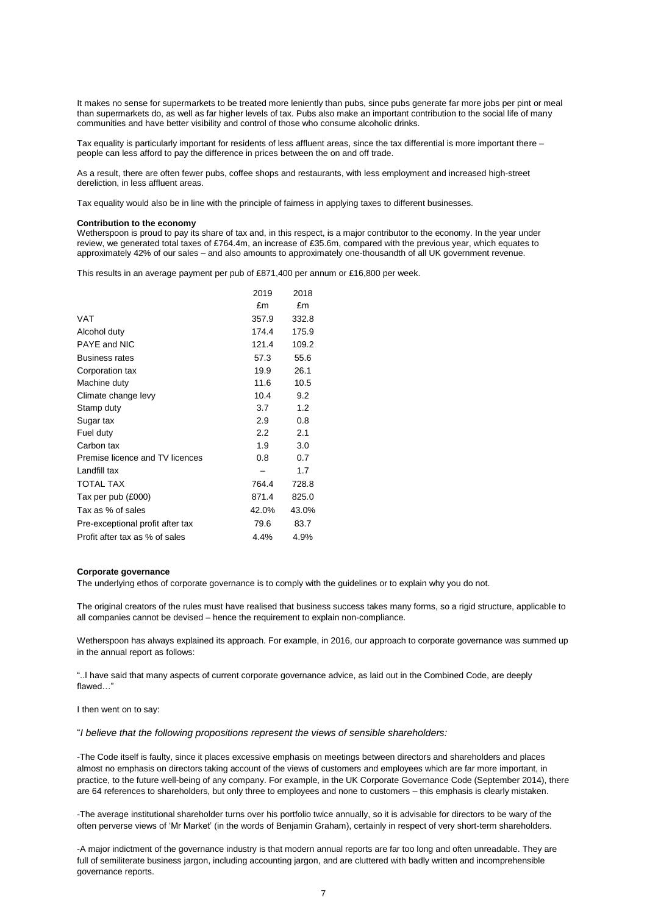It makes no sense for supermarkets to be treated more leniently than pubs, since pubs generate far more jobs per pint or meal than supermarkets do, as well as far higher levels of tax. Pubs also make an important contribution to the social life of many communities and have better visibility and control of those who consume alcoholic drinks.

Tax equality is particularly important for residents of less affluent areas, since the tax differential is more important there – people can less afford to pay the difference in prices between the on and off trade.

As a result, there are often fewer pubs, coffee shops and restaurants, with less employment and increased high-street dereliction, in less affluent areas.

Tax equality would also be in line with the principle of fairness in applying taxes to different businesses.

#### **Contribution to the economy**

Wetherspoon is proud to pay its share of tax and, in this respect, is a major contributor to the economy. In the year under review, we generated total taxes of £764.4m, an increase of £35.6m, compared with the previous year, which equates to approximately 42% of our sales – and also amounts to approximately one-thousandth of all UK government revenue.

This results in an average payment per pub of £871,400 per annum or £16,800 per week.

|                                  | 2019             | 2018  |
|----------------------------------|------------------|-------|
|                                  | £m               | £m    |
| <b>VAT</b>                       | 357.9            | 332.8 |
| Alcohol duty                     | 174.4            | 175.9 |
| PAYE and NIC                     | 121.4            | 109.2 |
| <b>Business rates</b>            | 57.3             | 55.6  |
| Corporation tax                  | 19.9             | 26.1  |
| Machine duty                     | 11.6             | 10.5  |
| Climate change levy              | 10.4             | 9.2   |
| Stamp duty                       | 3.7              | 1.2   |
| Sugar tax                        | 2.9              | 0.8   |
| Fuel duty                        | $2.2\phantom{0}$ | 2.1   |
| Carbon tax                       | 1.9              | 3.0   |
| Premise licence and TV licences  | 0.8              | 0.7   |
| Landfill tax                     |                  | 1.7   |
| <b>TOTAL TAX</b>                 | 764.4            | 728.8 |
| Tax per pub (£000)               | 871.4            | 825.0 |
| Tax as % of sales                | 42.0%            | 43.0% |
| Pre-exceptional profit after tax | 79.6             | 83.7  |
| Profit after tax as % of sales   | 4.4%             | 4.9%  |

#### **Corporate governance**

The underlying ethos of corporate governance is to comply with the guidelines or to explain why you do not.

The original creators of the rules must have realised that business success takes many forms, so a rigid structure, applicable to all companies cannot be devised – hence the requirement to explain non-compliance.

Wetherspoon has always explained its approach. For example, in 2016, our approach to corporate governance was summed up in the annual report as follows:

"..I have said that many aspects of current corporate governance advice, as laid out in the Combined Code, are deeply flawed…"

I then went on to say:

"*I believe that the following propositions represent the views of sensible shareholders:*

-The Code itself is faulty, since it places excessive emphasis on meetings between directors and shareholders and places almost no emphasis on directors taking account of the views of customers and employees which are far more important, in practice, to the future well-being of any company. For example, in the UK Corporate Governance Code (September 2014), there are 64 references to shareholders, but only three to employees and none to customers – this emphasis is clearly mistaken.

-The average institutional shareholder turns over his portfolio twice annually, so it is advisable for directors to be wary of the often perverse views of 'Mr Market' (in the words of Benjamin Graham), certainly in respect of very short-term shareholders.

-A major indictment of the governance industry is that modern annual reports are far too long and often unreadable. They are full of semiliterate business jargon, including accounting jargon, and are cluttered with badly written and incomprehensible governance reports.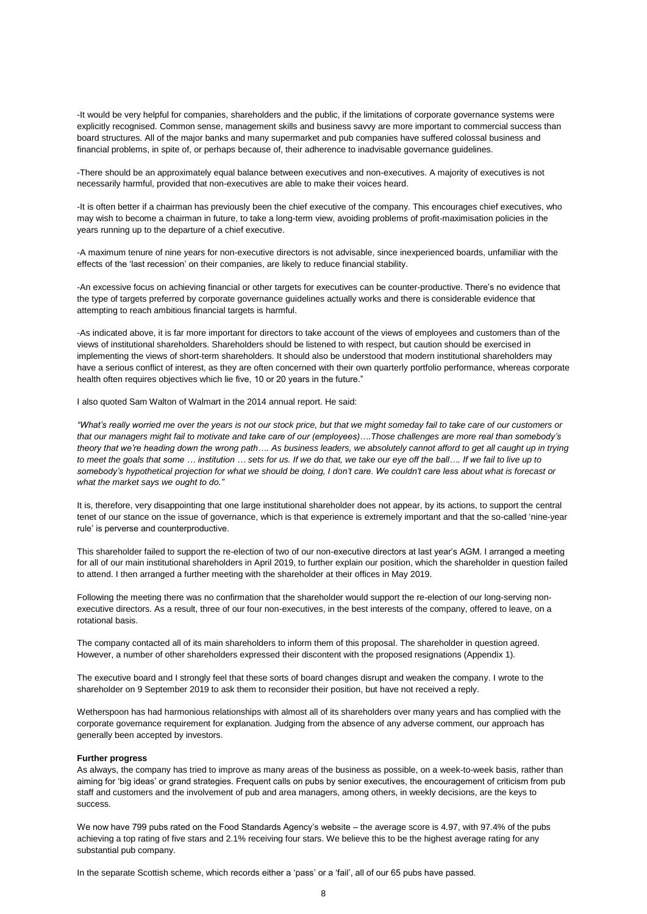-It would be very helpful for companies, shareholders and the public, if the limitations of corporate governance systems were explicitly recognised. Common sense, management skills and business savvy are more important to commercial success than board structures. All of the major banks and many supermarket and pub companies have suffered colossal business and financial problems, in spite of, or perhaps because of, their adherence to inadvisable governance guidelines.

-There should be an approximately equal balance between executives and non-executives. A majority of executives is not necessarily harmful, provided that non-executives are able to make their voices heard.

-It is often better if a chairman has previously been the chief executive of the company. This encourages chief executives, who may wish to become a chairman in future, to take a long-term view, avoiding problems of profit-maximisation policies in the years running up to the departure of a chief executive.

-A maximum tenure of nine years for non-executive directors is not advisable, since inexperienced boards, unfamiliar with the effects of the 'last recession' on their companies, are likely to reduce financial stability.

-An excessive focus on achieving financial or other targets for executives can be counter-productive. There's no evidence that the type of targets preferred by corporate governance guidelines actually works and there is considerable evidence that attempting to reach ambitious financial targets is harmful.

-As indicated above, it is far more important for directors to take account of the views of employees and customers than of the views of institutional shareholders. Shareholders should be listened to with respect, but caution should be exercised in implementing the views of short-term shareholders. It should also be understood that modern institutional shareholders may have a serious conflict of interest, as they are often concerned with their own quarterly portfolio performance, whereas corporate health often requires objectives which lie five, 10 or 20 years in the future."

I also quoted Sam Walton of Walmart in the 2014 annual report. He said:

*"What's really worried me over the years is not our stock price, but that we might someday fail to take care of our customers or that our managers might fail to motivate and take care of our (employees)….Those challenges are more real than somebody's theory that we're heading down the wrong path…. As business leaders, we absolutely cannot afford to get all caught up in trying to meet the goals that some … institution … sets for us. If we do that, we take our eye off the ball…. If we fail to live up to somebody's hypothetical projection for what we should be doing, I don't care. We couldn't care less about what is forecast or what the market says we ought to do."*

It is, therefore, very disappointing that one large institutional shareholder does not appear, by its actions, to support the central tenet of our stance on the issue of governance, which is that experience is extremely important and that the so-called 'nine-year rule' is perverse and counterproductive.

This shareholder failed to support the re-election of two of our non-executive directors at last year's AGM. I arranged a meeting for all of our main institutional shareholders in April 2019, to further explain our position, which the shareholder in question failed to attend. I then arranged a further meeting with the shareholder at their offices in May 2019.

Following the meeting there was no confirmation that the shareholder would support the re-election of our long-serving nonexecutive directors. As a result, three of our four non-executives, in the best interests of the company, offered to leave, on a rotational basis.

The company contacted all of its main shareholders to inform them of this proposal. The shareholder in question agreed. However, a number of other shareholders expressed their discontent with the proposed resignations (Appendix 1).

The executive board and I strongly feel that these sorts of board changes disrupt and weaken the company. I wrote to the shareholder on 9 September 2019 to ask them to reconsider their position, but have not received a reply.

Wetherspoon has had harmonious relationships with almost all of its shareholders over many years and has complied with the corporate governance requirement for explanation. Judging from the absence of any adverse comment, our approach has generally been accepted by investors.

#### **Further progress**

As always, the company has tried to improve as many areas of the business as possible, on a week-to-week basis, rather than aiming for 'big ideas' or grand strategies. Frequent calls on pubs by senior executives, the encouragement of criticism from pub staff and customers and the involvement of pub and area managers, among others, in weekly decisions, are the keys to success.

We now have 799 pubs rated on the Food Standards Agency's website – the average score is 4.97, with 97.4% of the pubs achieving a top rating of five stars and 2.1% receiving four stars. We believe this to be the highest average rating for any substantial pub company.

In the separate Scottish scheme, which records either a 'pass' or a 'fail', all of our 65 pubs have passed.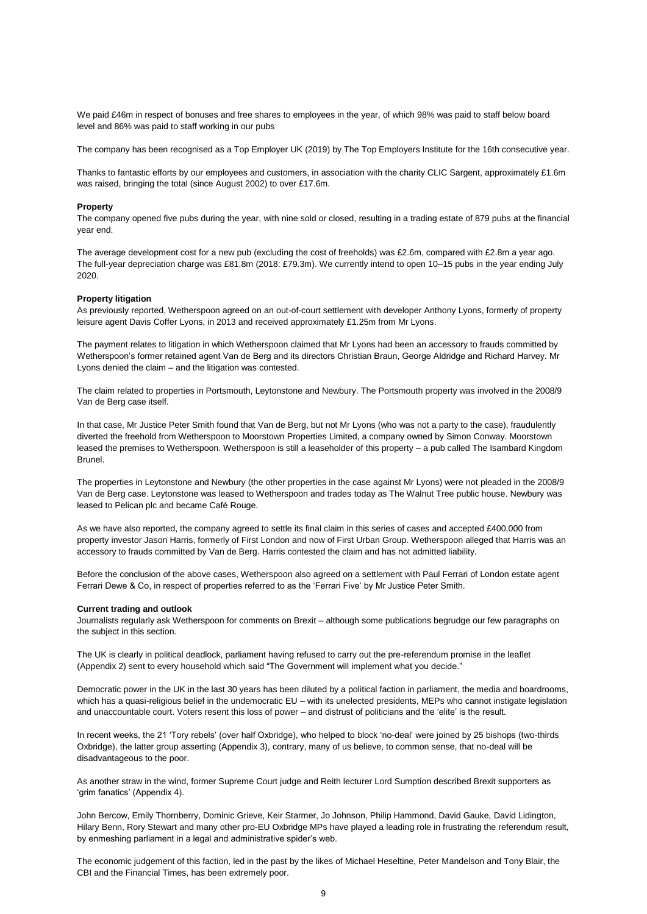We paid £46m in respect of bonuses and free shares to employees in the year, of which 98% was paid to staff below board level and 86% was paid to staff working in our pubs

The company has been recognised as a Top Employer UK (2019) by The Top Employers Institute for the 16th consecutive year.

Thanks to fantastic efforts by our employees and customers, in association with the charity CLIC Sargent, approximately £1.6m was raised, bringing the total (since August 2002) to over £17.6m.

#### **Property**

The company opened five pubs during the year, with nine sold or closed, resulting in a trading estate of 879 pubs at the financial year end.

The average development cost for a new pub (excluding the cost of freeholds) was £2.6m, compared with £2.8m a year ago. The full-year depreciation charge was £81.8m (2018: £79.3m). We currently intend to open 10–15 pubs in the year ending July 2020.

#### **Property litigation**

As previously reported, Wetherspoon agreed on an out-of-court settlement with developer Anthony Lyons, formerly of property leisure agent Davis Coffer Lyons, in 2013 and received approximately £1.25m from Mr Lyons.

The payment relates to litigation in which Wetherspoon claimed that Mr Lyons had been an accessory to frauds committed by Wetherspoon's former retained agent Van de Berg and its directors Christian Braun, George Aldridge and Richard Harvey. Mr Lyons denied the claim – and the litigation was contested.

The claim related to properties in Portsmouth, Leytonstone and Newbury. The Portsmouth property was involved in the 2008/9 Van de Berg case itself.

In that case, Mr Justice Peter Smith found that Van de Berg, but not Mr Lyons (who was not a party to the case), fraudulently diverted the freehold from Wetherspoon to Moorstown Properties Limited, a company owned by Simon Conway. Moorstown leased the premises to Wetherspoon. Wetherspoon is still a leaseholder of this property – a pub called The Isambard Kingdom Brunel.

The properties in Leytonstone and Newbury (the other properties in the case against Mr Lyons) were not pleaded in the 2008/9 Van de Berg case. Leytonstone was leased to Wetherspoon and trades today as The Walnut Tree public house. Newbury was leased to Pelican plc and became Café Rouge.

As we have also reported, the company agreed to settle its final claim in this series of cases and accepted £400,000 from property investor Jason Harris, formerly of First London and now of First Urban Group. Wetherspoon alleged that Harris was an accessory to frauds committed by Van de Berg. Harris contested the claim and has not admitted liability.

Before the conclusion of the above cases, Wetherspoon also agreed on a settlement with Paul Ferrari of London estate agent Ferrari Dewe & Co, in respect of properties referred to as the 'Ferrari Five' by Mr Justice Peter Smith.

#### **Current trading and outlook**

Journalists regularly ask Wetherspoon for comments on Brexit – although some publications begrudge our few paragraphs on the subject in this section.

The UK is clearly in political deadlock, parliament having refused to carry out the pre-referendum promise in the leaflet (Appendix 2) sent to every household which said "The Government will implement what you decide."

Democratic power in the UK in the last 30 years has been diluted by a political faction in parliament, the media and boardrooms, which has a quasi-religious belief in the undemocratic EU – with its unelected presidents, MEPs who cannot instigate legislation and unaccountable court. Voters resent this loss of power – and distrust of politicians and the 'elite' is the result.

In recent weeks, the 21 'Tory rebels' (over half Oxbridge), who helped to block 'no-deal' were joined by 25 bishops (two-thirds Oxbridge), the latter group asserting (Appendix 3), contrary, many of us believe, to common sense, that no-deal will be disadvantageous to the poor.

As another straw in the wind, former Supreme Court judge and Reith lecturer Lord Sumption described Brexit supporters as 'grim fanatics' (Appendix 4).

John Bercow, Emily Thornberry, Dominic Grieve, Keir Starmer, Jo Johnson, Philip Hammond, David Gauke, David Lidington, Hilary Benn, Rory Stewart and many other pro-EU Oxbridge MPs have played a leading role in frustrating the referendum result, by enmeshing parliament in a legal and administrative spider's web.

The economic judgement of this faction, led in the past by the likes of Michael Heseltine, Peter Mandelson and Tony Blair, the CBI and the Financial Times, has been extremely poor.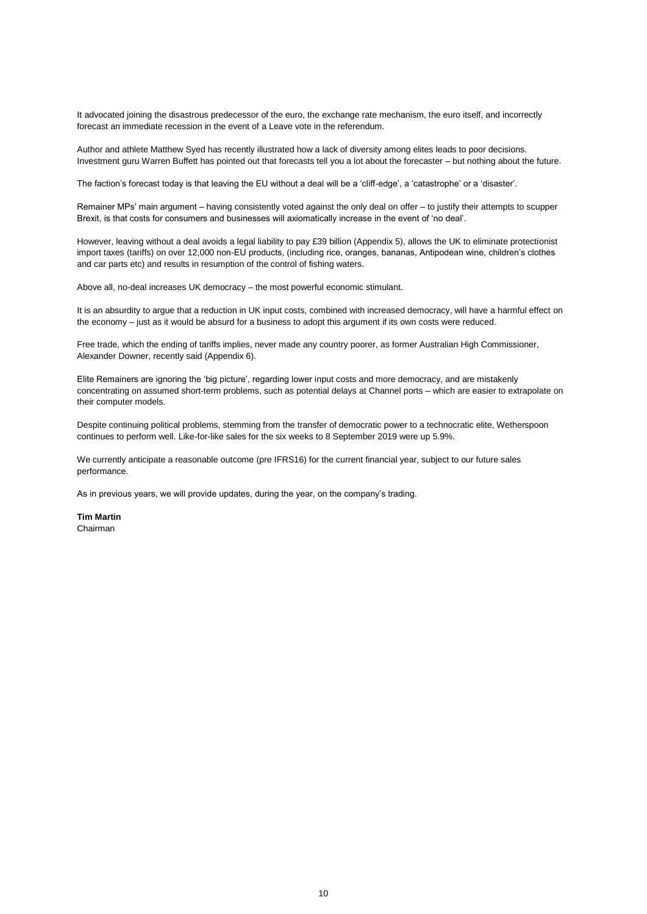It advocated joining the disastrous predecessor of the euro, the exchange rate mechanism, the euro itself, and incorrectly forecast an immediate recession in the event of a Leave vote in the referendum.

Author and athlete Matthew Syed has recently illustrated how a lack of diversity among elites leads to poor decisions. Investment guru Warren Buffett has pointed out that forecasts tell you a lot about the forecaster – but nothing about the future.

The faction's forecast today is that leaving the EU without a deal will be a 'cliff-edge', a 'catastrophe' or a 'disaster'.

Remainer MPs' main argument – having consistently voted against the only deal on offer – to justify their attempts to scupper Brexit, is that costs for consumers and businesses will axiomatically increase in the event of 'no deal'.

However, leaving without a deal avoids a legal liability to pay £39 billion (Appendix 5), allows the UK to eliminate protectionist import taxes (tariffs) on over 12,000 non-EU products, (including rice, oranges, bananas, Antipodean wine, children's clothes and car parts etc) and results in resumption of the control of fishing waters.

Above all, no-deal increases UK democracy – the most powerful economic stimulant.

It is an absurdity to argue that a reduction in UK input costs, combined with increased democracy, will have a harmful effect on the economy – just as it would be absurd for a business to adopt this argument if its own costs were reduced.

Free trade, which the ending of tariffs implies, never made any country poorer, as former Australian High Commissioner, Alexander Downer, recently said (Appendix 6).

Elite Remainers are ignoring the 'big picture', regarding lower input costs and more democracy, and are mistakenly concentrating on assumed short-term problems, such as potential delays at Channel ports – which are easier to extrapolate on their computer models.

Despite continuing political problems, stemming from the transfer of democratic power to a technocratic elite, Wetherspoon continues to perform well. Like-for-like sales for the six weeks to 8 September 2019 were up 5.9%.

We currently anticipate a reasonable outcome (pre IFRS16) for the current financial year, subject to our future sales performance.

As in previous years, we will provide updates, during the year, on the company's trading.

**Tim Martin** Chairman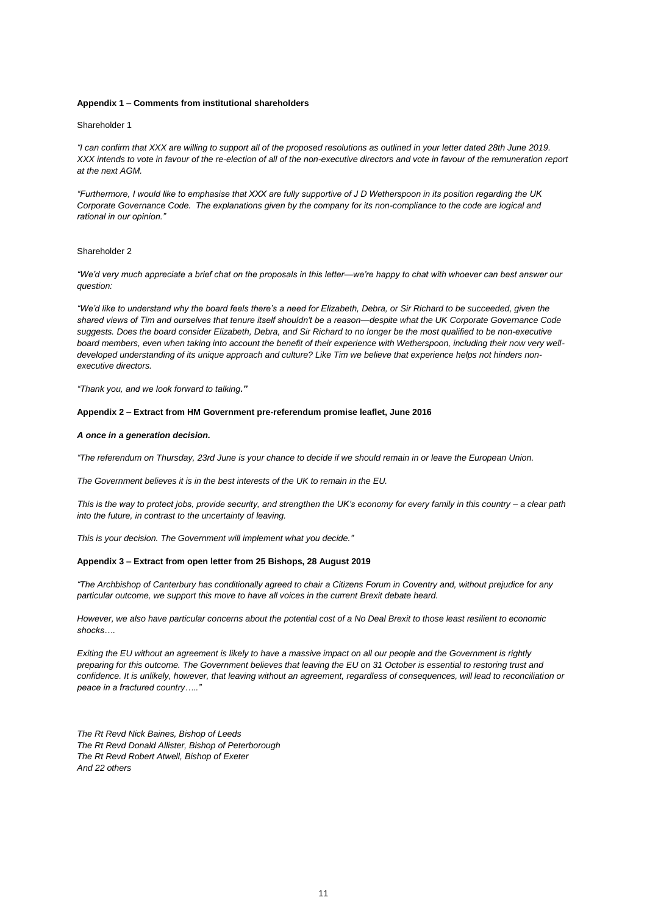#### **Appendix 1 – Comments from institutional shareholders**

#### Shareholder 1

*"I can confirm that XXX are willing to support all of the proposed resolutions as outlined in your letter dated 28th June 2019. XXX intends to vote in favour of the re-election of all of the non-executive directors and vote in favour of the remuneration report at the next AGM.* 

*"Furthermore, I would like to emphasise that XXX are fully supportive of J D Wetherspoon in its position regarding the UK Corporate Governance Code. The explanations given by the company for its non-compliance to the code are logical and rational in our opinion."*

#### Shareholder 2

*"We'd very much appreciate a brief chat on the proposals in this letter—we're happy to chat with whoever can best answer our question:*

*"We'd like to understand why the board feels there's a need for Elizabeth, Debra, or Sir Richard to be succeeded, given the shared views of Tim and ourselves that tenure itself shouldn't be a reason—despite what the UK Corporate Governance Code suggests. Does the board consider Elizabeth, Debra, and Sir Richard to no longer be the most qualified to be non-executive board members, even when taking into account the benefit of their experience with Wetherspoon, including their now very welldeveloped understanding of its unique approach and culture? Like Tim we believe that experience helps not hinders nonexecutive directors.* 

*"Thank you, and we look forward to talking."*

#### **Appendix 2 – Extract from HM Government pre-referendum promise leaflet, June 2016**

#### *A once in a generation decision.*

*"The referendum on Thursday, 23rd June is your chance to decide if we should remain in or leave the European Union.*

*The Government believes it is in the best interests of the UK to remain in the EU.*

*This is the way to protect jobs, provide security, and strengthen the UK's economy for every family in this country – a clear path into the future, in contrast to the uncertainty of leaving.*

*This is your decision. The Government will implement what you decide."*

#### **Appendix 3 – Extract from open letter from 25 Bishops, 28 August 2019**

*"The Archbishop of Canterbury has conditionally agreed to chair a Citizens Forum in Coventry and, without prejudice for any particular outcome, we support this move to have all voices in the current Brexit debate heard.*

*However, we also have particular concerns about the potential cost of a No Deal Brexit to those least resilient to economic shocks….*

*Exiting the EU without an agreement is likely to have a massive impact on all our people and the Government is rightly preparing for this outcome. The Government believes that leaving the EU on 31 October is essential to restoring trust and confidence. It is unlikely, however, that leaving without an agreement, regardless of consequences, will lead to reconciliation or peace in a fractured country….."*

*The Rt Revd Nick Baines, Bishop of Leeds The Rt Revd Donald Allister, Bishop of Peterborough The Rt Revd Robert Atwell, Bishop of Exeter And 22 others*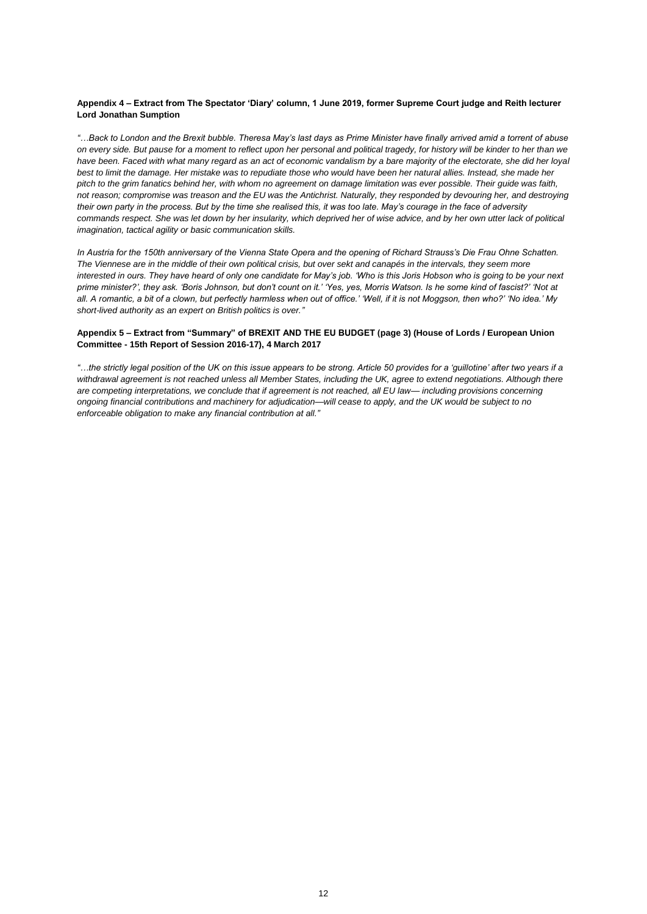#### **Appendix 4 – Extract from The Spectator 'Diary' column, 1 June 2019, former Supreme Court judge and Reith lecturer Lord Jonathan Sumption**

*"…Back to London and the Brexit bubble. Theresa May's last days as Prime Minister have finally arrived amid a torrent of abuse on every side. But pause for a moment to reflect upon her personal and political tragedy, for history will be kinder to her than we have been. Faced with what many regard as an act of economic vandalism by a bare majority of the electorate, she did her loyal best to limit the damage. Her mistake was to repudiate those who would have been her natural allies. Instead, she made her pitch to the grim fanatics behind her, with whom no agreement on damage limitation was ever possible. Their guide was faith,*  not reason; compromise was treason and the EU was the Antichrist. Naturally, they responded by devouring her, and destroying *their own party in the process. But by the time she realised this, it was too late. May's courage in the face of adversity commands respect. She was let down by her insularity, which deprived her of wise advice, and by her own utter lack of political imagination, tactical agility or basic communication skills.*

*In Austria for the 150th anniversary of the Vienna State Opera and the opening of Richard Strauss's Die Frau Ohne Schatten. The Viennese are in the middle of their own political crisis, but over sekt and canapés in the intervals, they seem more interested in ours. They have heard of only one candidate for May's job. 'Who is this Joris Hobson who is going to be your next prime minister?', they ask. 'Boris Johnson, but don't count on it.' 'Yes, yes, Morris Watson. Is he some kind of fascist?' 'Not at all. A romantic, a bit of a clown, but perfectly harmless when out of office.' 'Well, if it is not Moggson, then who?' 'No idea.' My short-lived authority as an expert on British politics is over."*

#### **Appendix 5 – Extract from "Summary" of BREXIT AND THE EU BUDGET (page 3) (House of Lords / European Union Committee - 15th Report of Session 2016-17), 4 March 2017**

*"…the strictly legal position of the UK on this issue appears to be strong. Article 50 provides for a 'guillotine' after two years if a withdrawal agreement is not reached unless all Member States, including the UK, agree to extend negotiations. Although there are competing interpretations, we conclude that if agreement is not reached, all EU law— including provisions concerning ongoing financial contributions and machinery for adjudication—will cease to apply, and the UK would be subject to no enforceable obligation to make any financial contribution at all."*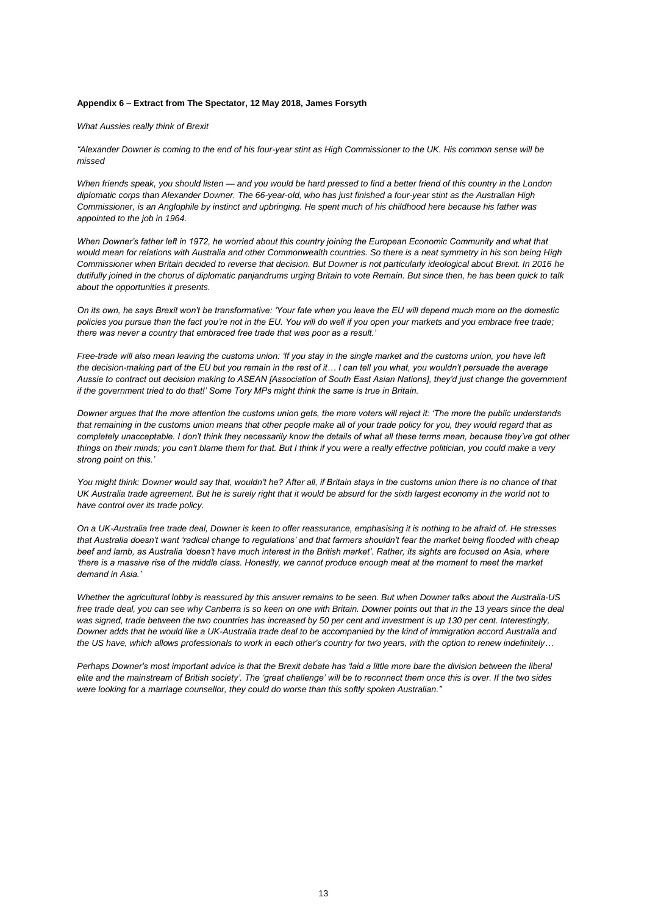#### **Appendix 6 – Extract from The Spectator, 12 May 2018, James Forsyth**

#### *What Aussies really think of Brexit*

*"Alexander Downer is coming to the end of his four-year stint as High Commissioner to the UK. His common sense will be missed*

*When friends speak, you should listen — and you would be hard pressed to find a better friend of this country in the London diplomatic corps than Alexander Downer. The 66-year-old, who has just finished a four-year stint as the Australian High Commissioner, is an Anglophile by instinct and upbringing. He spent much of his childhood here because his father was appointed to the job in 1964.*

When Downer's father left in 1972, he worried about this country joining the European Economic Community and what that *would mean for relations with Australia and other Commonwealth countries. So there is a neat symmetry in his son being High Commissioner when Britain decided to reverse that decision. But Downer is not particularly ideological about Brexit. In 2016 he dutifully joined in the chorus of diplomatic panjandrums urging Britain to vote Remain. But since then, he has been quick to talk about the opportunities it presents.*

*On its own, he says Brexit won't be transformative: 'Your fate when you leave the EU will depend much more on the domestic policies you pursue than the fact you're not in the EU. You will do well if you open your markets and you embrace free trade; there was never a country that embraced free trade that was poor as a result.'*

*Free-trade will also mean leaving the customs union: 'If you stay in the single market and the customs union, you have left the decision-making part of the EU but you remain in the rest of it… I can tell you what, you wouldn't persuade the average Aussie to contract out decision making to ASEAN [Association of South East Asian Nations], they'd just change the government if the government tried to do that!' Some Tory MPs might think the same is true in Britain.*

*Downer argues that the more attention the customs union gets, the more voters will reject it: 'The more the public understands that remaining in the customs union means that other people make all of your trade policy for you, they would regard that as completely unacceptable. I don't think they necessarily know the details of what all these terms mean, because they've got other things on their minds; you can't blame them for that. But I think if you were a really effective politician, you could make a very strong point on this.'*

*You might think: Downer would say that, wouldn't he? After all, if Britain stays in the customs union there is no chance of that UK Australia trade agreement. But he is surely right that it would be absurd for the sixth largest economy in the world not to have control over its trade policy.*

*On a UK-Australia free trade deal, Downer is keen to offer reassurance, emphasising it is nothing to be afraid of. He stresses that Australia doesn't want 'radical change to regulations' and that farmers shouldn't fear the market being flooded with cheap beef and lamb, as Australia 'doesn't have much interest in the British market'. Rather, its sights are focused on Asia, where 'there is a massive rise of the middle class. Honestly, we cannot produce enough meat at the moment to meet the market demand in Asia.'*

*Whether the agricultural lobby is reassured by this answer remains to be seen. But when Downer talks about the Australia-US free trade deal, you can see why Canberra is so keen on one with Britain. Downer points out that in the 13 years since the deal was signed, trade between the two countries has increased by 50 per cent and investment is up 130 per cent. Interestingly, Downer adds that he would like a UK-Australia trade deal to be accompanied by the kind of immigration accord Australia and the US have, which allows professionals to work in each other's country for two years, with the option to renew indefinitely…*

*Perhaps Downer's most important advice is that the Brexit debate has 'laid a little more bare the division between the liberal elite and the mainstream of British society'. The 'great challenge' will be to reconnect them once this is over. If the two sides were looking for a marriage counsellor, they could do worse than this softly spoken Australian."*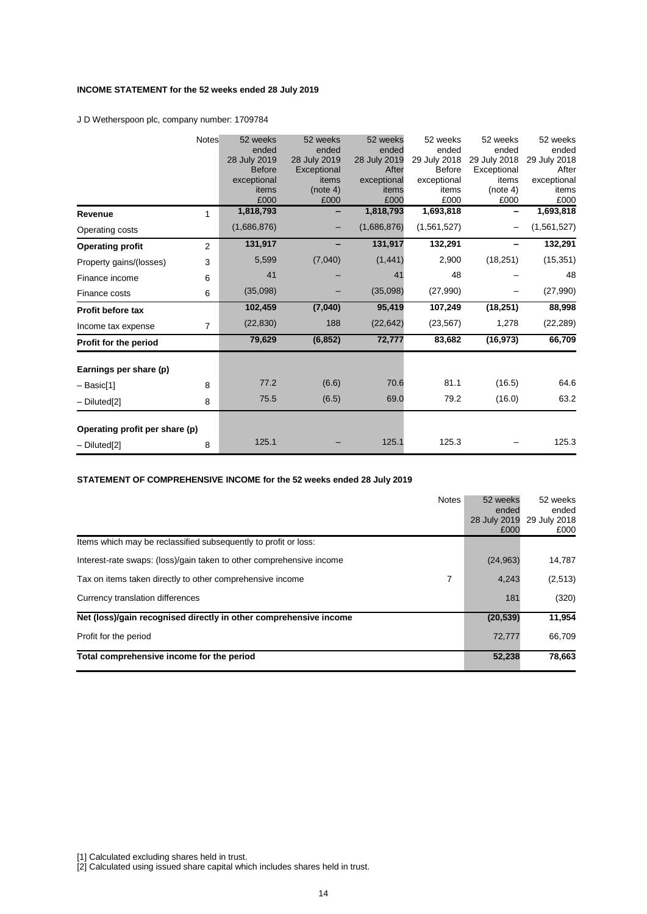# **INCOME STATEMENT for the 52 weeks ended 28 July 2019**

J D Wetherspoon plc, company number: 1709784

|                                | Notes          | 52 weeks      | 52 weeks     | 52 weeks     | 52 weeks      | 52 weeks     | 52 weeks     |
|--------------------------------|----------------|---------------|--------------|--------------|---------------|--------------|--------------|
|                                |                | ended         | ended        | ended        | ended         | ended        | ended        |
|                                |                | 28 July 2019  | 28 July 2019 | 28 July 2019 | 29 July 2018  | 29 July 2018 | 29 July 2018 |
|                                |                | <b>Before</b> | Exceptional  | After        | <b>Before</b> | Exceptional  | After        |
|                                |                | exceptional   | items        | exceptional  | exceptional   | items        | exceptional  |
|                                |                | items         | (note 4)     | items        | items         | (note 4)     | items        |
|                                |                | £000          | £000         | £000         | £000          | £000         | £000         |
| Revenue                        | 1              | 1,818,793     |              | 1,818,793    | 1,693,818     |              | 1,693,818    |
| Operating costs                |                | (1,686,876)   |              | (1,686,876)  | (1,561,527)   |              | (1,561,527)  |
| <b>Operating profit</b>        | $\overline{2}$ | 131,917       |              | 131,917      | 132,291       |              | 132,291      |
| Property gains/(losses)        | 3              | 5,599         | (7,040)      | (1, 441)     | 2,900         | (18, 251)    | (15, 351)    |
| Finance income                 | 6              | 41            |              | 41           | 48            |              | 48           |
| Finance costs                  | 6              | (35,098)      |              | (35,098)     | (27,990)      |              | (27,990)     |
| <b>Profit before tax</b>       |                | 102,459       | (7,040)      | 95,419       | 107,249       | (18, 251)    | 88,998       |
| Income tax expense             | $\overline{7}$ | (22, 830)     | 188          | (22, 642)    | (23, 567)     | 1,278        | (22, 289)    |
| Profit for the period          |                | 79,629        | (6, 852)     | 72,777       | 83,682        | (16, 973)    | 66,709       |
| Earnings per share (p)         |                |               |              |              |               |              |              |
| – Basic[1]                     | 8              | 77.2          | (6.6)        | 70.6         | 81.1          | (16.5)       | 64.6         |
| - Diluted <sup>[2]</sup>       | 8              | 75.5          | (6.5)        | 69.0         | 79.2          | (16.0)       | 63.2         |
|                                |                |               |              |              |               |              |              |
| Operating profit per share (p) |                |               |              |              |               |              |              |
| - Diluted[2]                   | 8              | 125.1         |              | 125.1        | 125.3         |              | 125.3        |

# **STATEMENT OF COMPREHENSIVE INCOME for the 52 weeks ended 28 July 2019**

|                                                                      | <b>Notes</b> | 52 weeks<br>ended<br>28 July 2019<br>£000 | 52 weeks<br>ended<br>29 July 2018<br>£000 |
|----------------------------------------------------------------------|--------------|-------------------------------------------|-------------------------------------------|
| Items which may be reclassified subsequently to profit or loss:      |              |                                           |                                           |
| Interest-rate swaps: (loss)/gain taken to other comprehensive income |              | (24, 963)                                 | 14,787                                    |
| Tax on items taken directly to other comprehensive income            | 7            | 4.243                                     | (2,513)                                   |
| Currency translation differences                                     |              | 181                                       | (320)                                     |
| Net (loss)/gain recognised directly in other comprehensive income    |              | (20, 539)                                 | 11,954                                    |
| Profit for the period                                                |              | 72,777                                    | 66,709                                    |
| Total comprehensive income for the period                            |              | 52,238                                    | 78,663                                    |

[1] Calculated excluding shares held in trust.

[2] Calculated using issued share capital which includes shares held in trust.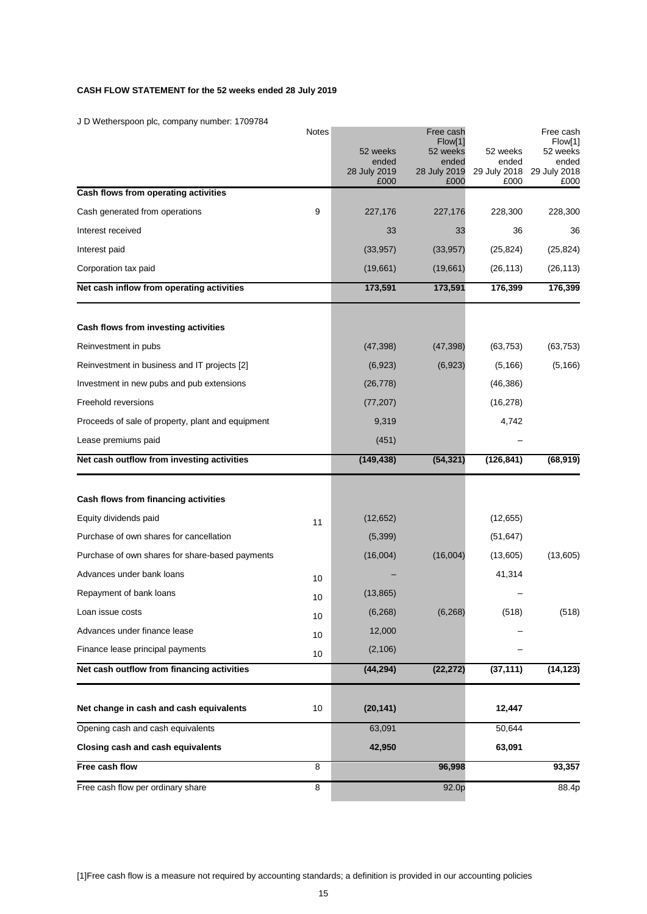# **CASH FLOW STATEMENT for the 52 weeks ended 28 July 2019**

J D Wetherspoon plc, company number: 1709784

| Free cash flow per ordinary share                 | 8     |                                           | 92.0p                                     |                                           | 88.4p                                     |
|---------------------------------------------------|-------|-------------------------------------------|-------------------------------------------|-------------------------------------------|-------------------------------------------|
| Free cash flow                                    | 8     |                                           | 96,998                                    |                                           | 93,357                                    |
| Closing cash and cash equivalents                 |       | 42,950                                    |                                           | 63,091                                    |                                           |
| Opening cash and cash equivalents                 |       | 63,091                                    |                                           | 50,644                                    |                                           |
| Net change in cash and cash equivalents           | 10    | (20, 141)                                 |                                           | 12,447                                    |                                           |
| Net cash outflow from financing activities        |       | (44, 294)                                 | (22, 272)                                 | (37, 111)                                 | (14, 123)                                 |
| Finance lease principal payments                  | 10    | (2, 106)                                  |                                           |                                           |                                           |
| Advances under finance lease                      | 10    | 12,000                                    |                                           |                                           |                                           |
| Loan issue costs                                  | 10    | (6, 268)                                  | (6, 268)                                  | (518)                                     | (518)                                     |
| Repayment of bank loans                           | 10    | (13, 865)                                 |                                           |                                           |                                           |
| Advances under bank loans                         | 10    |                                           |                                           | 41,314                                    |                                           |
| Purchase of own shares for share-based payments   |       | (16,004)                                  | (16,004)                                  | (13,605)                                  | (13,605)                                  |
| Purchase of own shares for cancellation           |       | (5,399)                                   |                                           | (51, 647)                                 |                                           |
| Equity dividends paid                             | 11    | (12, 652)                                 |                                           | (12, 655)                                 |                                           |
| Cash flows from financing activities              |       |                                           |                                           |                                           |                                           |
| Net cash outflow from investing activities        |       | (149, 438)                                | (54, 321)                                 | (126, 841)                                | (68, 919)                                 |
| Lease premiums paid                               |       | (451)                                     |                                           |                                           |                                           |
| Proceeds of sale of property, plant and equipment |       | 9,319                                     |                                           | 4,742                                     |                                           |
| Freehold reversions                               |       | (77, 207)                                 |                                           | (16, 278)                                 |                                           |
| Investment in new pubs and pub extensions         |       | (26, 778)                                 |                                           | (46, 386)                                 |                                           |
| Reinvestment in business and IT projects [2]      |       | (6,923)                                   | (6, 923)                                  | (5, 166)                                  | (5, 166)                                  |
| Reinvestment in pubs                              |       | (47, 398)                                 | (47, 398)                                 | (63, 753)                                 | (63, 753)                                 |
| Cash flows from investing activities              |       |                                           |                                           |                                           |                                           |
| Net cash inflow from operating activities         |       | 173,591                                   | 173,591                                   | 176,399                                   | 176,399                                   |
| Corporation tax paid                              |       | (19,661)                                  | (19,661)                                  | (26, 113)                                 | (26, 113)                                 |
| Interest paid                                     |       | (33, 957)                                 | (33, 957)                                 | (25, 824)                                 | (25, 824)                                 |
| Interest received                                 |       | 33                                        | 33                                        | 36                                        | 36                                        |
| Cash generated from operations                    | 9     | 227,176                                   | 227,176                                   | 228,300                                   | 228,300                                   |
| Cash flows from operating activities              |       |                                           |                                           |                                           |                                           |
|                                                   |       | 52 weeks<br>ended<br>28 July 2019<br>£000 | 52 weeks<br>ended<br>28 July 2019<br>£000 | 52 weeks<br>ended<br>29 July 2018<br>£000 | 52 weeks<br>ended<br>29 July 2018<br>£000 |
|                                                   | Notes |                                           | Free cash<br>Flow[1]                      |                                           | Free cash<br>Flow[1]                      |

[1]Free cash flow is a measure not required by accounting standards; a definition is provided in our accounting policies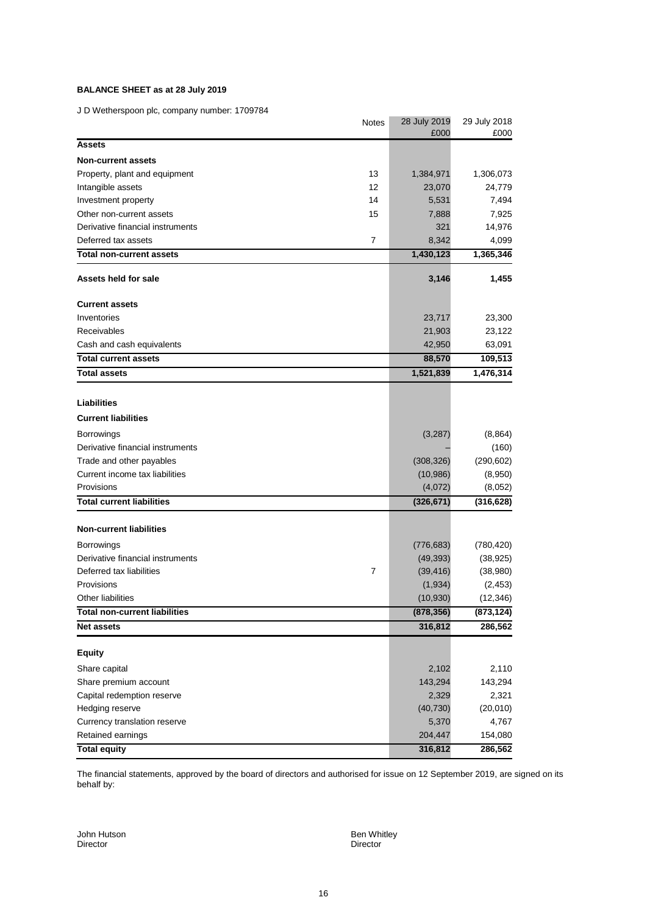# **BALANCE SHEET as at 28 July 2019**

J D Wetherspoon plc, company number: 1709784

| $\sigma$ by weakendpoon plot company namber. Theorem | <b>Notes</b>   | 28 July 2019<br>£000 | 29 July 2018<br>£000 |
|------------------------------------------------------|----------------|----------------------|----------------------|
| <b>Assets</b>                                        |                |                      |                      |
| <b>Non-current assets</b>                            |                |                      |                      |
| Property, plant and equipment                        | 13             | 1,384,971            | 1,306,073            |
| Intangible assets                                    | 12             | 23,070               | 24,779               |
| Investment property                                  | 14             | 5,531                | 7,494                |
| Other non-current assets                             | 15             | 7,888                | 7,925                |
| Derivative financial instruments                     |                | 321                  | 14,976               |
| Deferred tax assets                                  | $\overline{7}$ | 8,342                | 4,099                |
| <b>Total non-current assets</b>                      |                | 1,430,123            | 1,365,346            |
| Assets held for sale                                 |                | 3,146                | 1,455                |
| <b>Current assets</b>                                |                |                      |                      |
| Inventories                                          |                | 23,717               | 23,300               |
| Receivables                                          |                | 21,903               | 23,122               |
| Cash and cash equivalents                            |                | 42,950               | 63,091               |
| <b>Total current assets</b>                          |                | 88,570               | 109,513              |
| <b>Total assets</b>                                  |                | 1,521,839            | 1,476,314            |
|                                                      |                |                      |                      |
| <b>Liabilities</b>                                   |                |                      |                      |
| <b>Current liabilities</b>                           |                |                      |                      |
| <b>Borrowings</b>                                    |                | (3,287)              | (8, 864)             |
| Derivative financial instruments                     |                |                      | (160)                |
| Trade and other payables                             |                | (308, 326)           | (290, 602)           |
| Current income tax liabilities                       |                | (10, 986)            | (8,950)              |
| Provisions                                           |                | (4,072)              | (8,052)              |
| <b>Total current liabilities</b>                     |                | (326, 671)           | (316, 628)           |
| <b>Non-current liabilities</b>                       |                |                      |                      |
| <b>Borrowings</b>                                    |                | (776, 683)           | (780, 420)           |
| Derivative financial instruments                     |                | (49, 393)            | (38, 925)            |
| Deferred tax liabilities                             | 7              | (39, 416)            | (38,980)             |
| Provisions                                           |                | (1,934)              | (2, 453)             |
| Other liabilities                                    |                | (10, 930)            | (12, 346)            |
| <b>Total non-current liabilities</b>                 |                | (878, 356)           | (873, 124)           |
| <b>Net assets</b>                                    |                | 316,812              | 286,562              |
| <b>Equity</b>                                        |                |                      |                      |
| Share capital                                        |                | 2,102                | 2,110                |
| Share premium account                                |                | 143,294              | 143,294              |
| Capital redemption reserve                           |                | 2,329                | 2,321                |
| Hedging reserve                                      |                | (40, 730)            | (20,010)             |
| Currency translation reserve                         |                | 5,370                | 4,767                |
| Retained earnings                                    |                | 204,447              | 154,080              |
| <b>Total equity</b>                                  |                | 316,812              | 286,562              |

The financial statements, approved by the board of directors and authorised for issue on 12 September 2019, are signed on its behalf by:

John Hutson Ben Whitley Ben Whitley Ben Whitley<br>
Director Ben Whitley Birector Director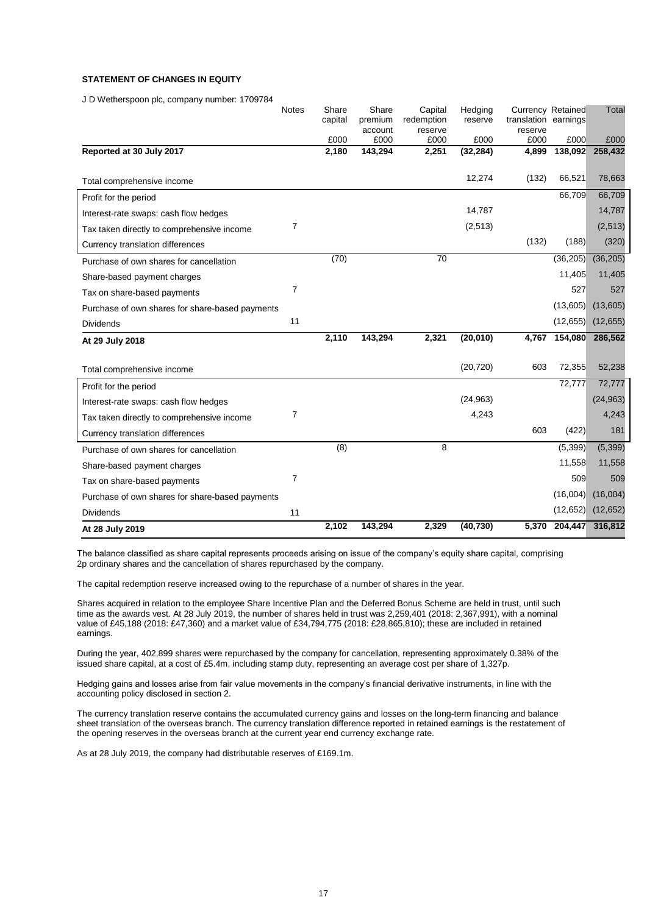# **STATEMENT OF CHANGES IN EQUITY**

J D Wetherspoon plc, company number: 1709784

|                                                 | <b>Notes</b>   | Share<br>capital | Share<br>premium | Capital<br>redemption | Hedging<br>reserve | Currency Retained<br>translation earnings |                 | Total           |
|-------------------------------------------------|----------------|------------------|------------------|-----------------------|--------------------|-------------------------------------------|-----------------|-----------------|
|                                                 |                |                  | account          | reserve               |                    | reserve                                   |                 |                 |
| Reported at 30 July 2017                        |                | £000<br>2,180    | £000<br>143,294  | £000<br>2,251         | £000<br>(32, 284)  | £000<br>4,899                             | £000<br>138,092 | £000<br>258,432 |
|                                                 |                |                  |                  |                       |                    |                                           |                 |                 |
| Total comprehensive income                      |                |                  |                  |                       | 12,274             | (132)                                     | 66,521          | 78,663          |
| Profit for the period                           |                |                  |                  |                       |                    |                                           | 66,709          | 66,709          |
| Interest-rate swaps: cash flow hedges           |                |                  |                  |                       | 14,787             |                                           |                 | 14,787          |
| Tax taken directly to comprehensive income      | 7              |                  |                  |                       | (2,513)            |                                           |                 | (2,513)         |
| Currency translation differences                |                |                  |                  |                       |                    | (132)                                     | (188)           | (320)           |
| Purchase of own shares for cancellation         |                | (70)             |                  | $\overline{70}$       |                    |                                           | (36, 205)       | (36, 205)       |
| Share-based payment charges                     |                |                  |                  |                       |                    |                                           | 11,405          | 11,405          |
| Tax on share-based payments                     | $\overline{7}$ |                  |                  |                       |                    |                                           | 527             | 527             |
| Purchase of own shares for share-based payments |                |                  |                  |                       |                    |                                           | (13,605)        | (13,605)        |
| <b>Dividends</b>                                | 11             |                  |                  |                       |                    |                                           | (12, 655)       | (12, 655)       |
| At 29 July 2018                                 |                | 2,110            | 143,294          | 2,321                 | (20, 010)          | 4,767                                     | 154,080         | 286,562         |
|                                                 |                |                  |                  |                       |                    |                                           |                 |                 |
| Total comprehensive income                      |                |                  |                  |                       | (20, 720)          | 603                                       | 72,355          | 52,238          |
| Profit for the period                           |                |                  |                  |                       |                    |                                           | 72,777          | 72,777          |
| Interest-rate swaps: cash flow hedges           |                |                  |                  |                       | (24, 963)          |                                           |                 | (24, 963)       |
| Tax taken directly to comprehensive income      | 7              |                  |                  |                       | 4,243              |                                           |                 | 4,243           |
| Currency translation differences                |                |                  |                  |                       |                    | 603                                       | (422)           | 181             |
| Purchase of own shares for cancellation         |                | (8)              |                  | 8                     |                    |                                           | (5, 399)        | (5, 399)        |
| Share-based payment charges                     |                |                  |                  |                       |                    |                                           | 11,558          | 11,558          |
| Tax on share-based payments                     | $\overline{7}$ |                  |                  |                       |                    |                                           | 509             | 509             |
| Purchase of own shares for share-based payments |                |                  |                  |                       |                    |                                           | (16,004)        | (16,004)        |
| <b>Dividends</b>                                | 11             |                  |                  |                       |                    |                                           | (12, 652)       | (12, 652)       |
| At 28 July 2019                                 |                | 2,102            | 143,294          | 2,329                 | (40, 730)          | 5,370                                     | 204,447         | 316,812         |

The balance classified as share capital represents proceeds arising on issue of the company's equity share capital, comprising 2p ordinary shares and the cancellation of shares repurchased by the company.

The capital redemption reserve increased owing to the repurchase of a number of shares in the year.

Shares acquired in relation to the employee Share Incentive Plan and the Deferred Bonus Scheme are held in trust, until such time as the awards vest. At 28 July 2019, the number of shares held in trust was 2,259,401 (2018: 2,367,991), with a nominal value of £45,188 (2018: £47,360) and a market value of £34,794,775 (2018: £28,865,810); these are included in retained earnings.

During the year, 402,899 shares were repurchased by the company for cancellation, representing approximately 0.38% of the issued share capital, at a cost of £5.4m, including stamp duty, representing an average cost per share of 1,327p.

Hedging gains and losses arise from fair value movements in the company's financial derivative instruments, in line with the accounting policy disclosed in section 2.

The currency translation reserve contains the accumulated currency gains and losses on the long-term financing and balance sheet translation of the overseas branch. The currency translation difference reported in retained earnings is the restatement of the opening reserves in the overseas branch at the current year end currency exchange rate.

As at 28 July 2019, the company had distributable reserves of £169.1m.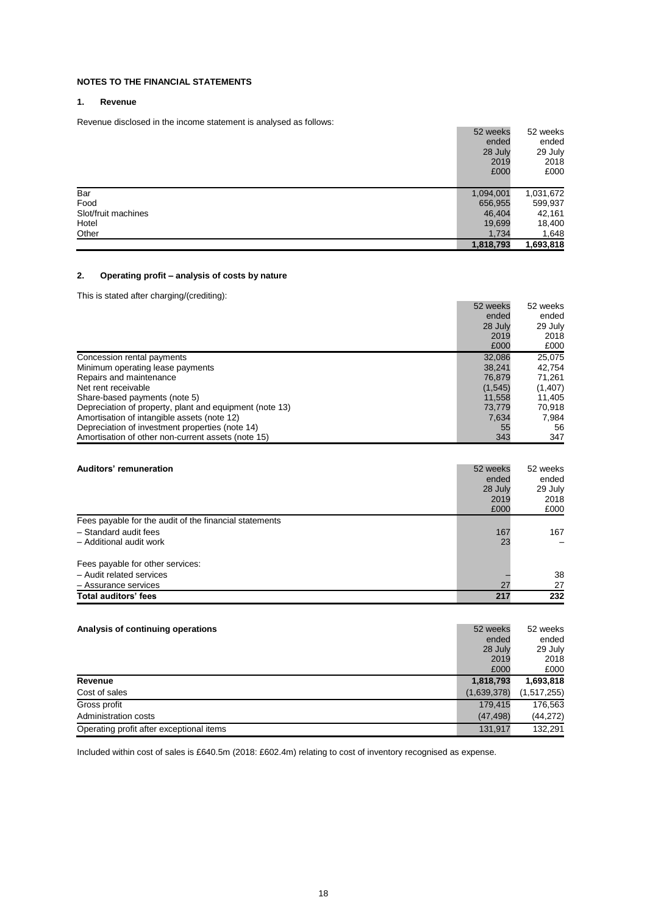# **NOTES TO THE FINANCIAL STATEMENTS**

# **1. Revenue**

Revenue disclosed in the income statement is analysed as follows:

|                     | 52 weeks  | 52 weeks  |
|---------------------|-----------|-----------|
|                     | ended     | ended     |
|                     | 28 July   | 29 July   |
|                     | 2019      | 2018      |
|                     | £000      | £000      |
|                     |           |           |
| Bar                 | 1,094,001 | 1,031,672 |
| Food                | 656,955   | 599,937   |
| Slot/fruit machines | 46,404    | 42,161    |
| Hotel               | 19,699    | 18,400    |
| Other               | 1,734     | 1,648     |
|                     | 1,818,793 | 1,693,818 |

# **2. Operating profit – analysis of costs by nature**

This is stated after charging/(crediting):

|                                                         | 52 weeks | 52 weeks |
|---------------------------------------------------------|----------|----------|
|                                                         | ended    | ended    |
|                                                         | 28 July  | 29 July  |
|                                                         | 2019     | 2018     |
|                                                         | £000     | £000     |
| Concession rental payments                              | 32,086   | 25,075   |
| Minimum operating lease payments                        | 38.241   | 42,754   |
| Repairs and maintenance                                 | 76.879   | 71.261   |
| Net rent receivable                                     | (1,545)  | (1,407)  |
| Share-based payments (note 5)                           | 11.558   | 11.405   |
| Depreciation of property, plant and equipment (note 13) | 73.779   | 70.918   |
| Amortisation of intangible assets (note 12)             | 7,634    | 7,984    |
| Depreciation of investment properties (note 14)         | 55       | 56       |
| Amortisation of other non-current assets (note 15)      | 343      | 347      |

| Auditors' remuneration                                 | 52 weeks<br>ended<br>28 July<br>2019 | 52 weeks<br>ended<br>29 July<br>2018 |
|--------------------------------------------------------|--------------------------------------|--------------------------------------|
|                                                        | £000                                 | £000                                 |
| Fees payable for the audit of the financial statements |                                      |                                      |
| - Standard audit fees                                  | 167                                  | 167                                  |
| - Additional audit work                                | 23                                   |                                      |
| Fees payable for other services:                       |                                      |                                      |
| - Audit related services                               |                                      | 38                                   |
| - Assurance services                                   | 27                                   | 27                                   |
| Total auditors' fees                                   | 217                                  | 232                                  |

| Analysis of continuing operations        |             | 52 weeks    |  |
|------------------------------------------|-------------|-------------|--|
|                                          | ended       | ended       |  |
|                                          | 28 July     | 29 July     |  |
|                                          | 2019        | 2018        |  |
|                                          | £000        | £000        |  |
| Revenue                                  | 1,818,793   | 1,693,818   |  |
| Cost of sales                            | (1,639,378) | (1,517,255) |  |
| Gross profit                             | 179.415     | 176,563     |  |
| Administration costs                     | (47, 498)   | (44, 272)   |  |
| Operating profit after exceptional items | 131.917     | 132.291     |  |

Included within cost of sales is £640.5m (2018: £602.4m) relating to cost of inventory recognised as expense.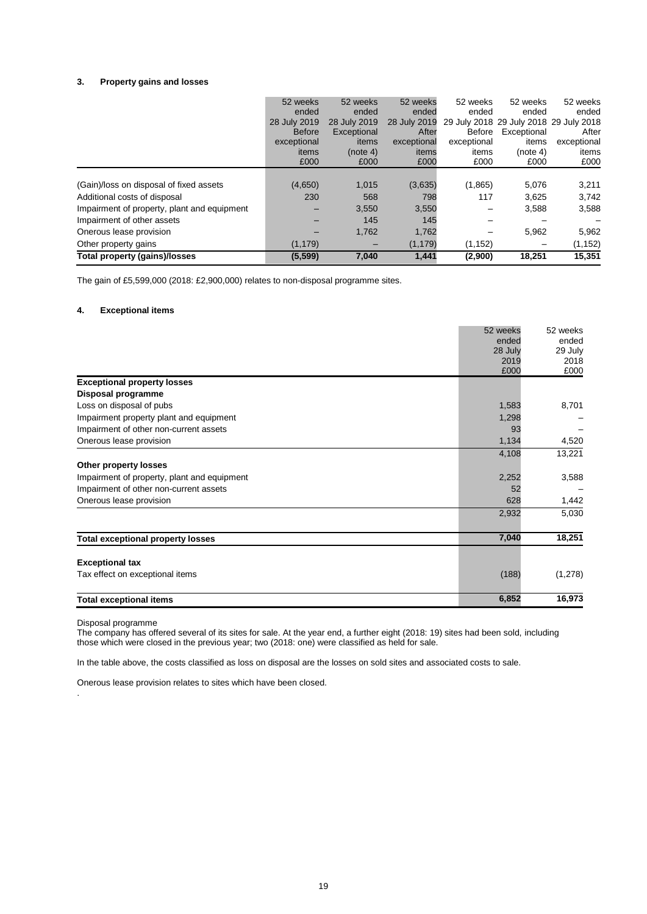#### **3. Property gains and losses**

| Total property (gains)/losses               | (5, 599)          | 7,040             | 1,441             | (2,900)           | 18,251                                 | 15.351            |
|---------------------------------------------|-------------------|-------------------|-------------------|-------------------|----------------------------------------|-------------------|
| Other property gains                        | (1, 179)          | $\qquad \qquad$   | (1, 179)          | (1, 152)          | $\overline{\phantom{m}}$               | (1, 152)          |
| Onerous lease provision                     |                   | 1,762             | 1,762             |                   | 5,962                                  | 5,962             |
| Impairment of other assets                  |                   | 145               | 145               |                   |                                        |                   |
| Impairment of property, plant and equipment |                   | 3,550             | 3,550             |                   | 3,588                                  | 3,588             |
| Additional costs of disposal                | 230               | 568               | 798               | 117               | 3,625                                  | 3,742             |
| (Gain)/loss on disposal of fixed assets     | (4,650)           | 1,015             | (3,635)           | (1,865)           | 5,076                                  | 3,211             |
|                                             | £000              | £000              | £000              | £000              | £000                                   | £000              |
|                                             | items             | (note 4)          | items             | items             | (note 4)                               | items             |
|                                             | exceptional       | items             | exceptional       | exceptional       | items                                  | exceptional       |
|                                             | <b>Before</b>     | Exceptional       | After             | Before            | Exceptional                            | After             |
|                                             | 28 July 2019      | 28 July 2019      | 28 July 2019      |                   | 29 July 2018 29 July 2018 29 July 2018 |                   |
|                                             | 52 weeks<br>ended | 52 weeks<br>ended | 52 weeks<br>ended | 52 weeks<br>ended | 52 weeks<br>ended                      | 52 weeks<br>ended |
|                                             |                   |                   |                   |                   |                                        |                   |

The gain of £5,599,000 (2018: £2,900,000) relates to non-disposal programme sites.

#### **4. Exceptional items**

|                                             | 52 weeks | 52 weeks |
|---------------------------------------------|----------|----------|
|                                             | ended    | ended    |
|                                             | 28 July  | 29 July  |
|                                             | 2019     | 2018     |
|                                             | £000     | £000     |
| <b>Exceptional property losses</b>          |          |          |
| Disposal programme                          |          |          |
| Loss on disposal of pubs                    | 1,583    | 8,701    |
| Impairment property plant and equipment     | 1,298    |          |
| Impairment of other non-current assets      | 93       |          |
| Onerous lease provision                     | 1,134    | 4,520    |
|                                             | 4,108    | 13,221   |
| Other property losses                       |          |          |
| Impairment of property, plant and equipment | 2,252    | 3,588    |
| Impairment of other non-current assets      | 52       |          |
| Onerous lease provision                     | 628      | 1,442    |
|                                             | 2,932    | 5,030    |
|                                             |          |          |
| <b>Total exceptional property losses</b>    | 7,040    | 18,251   |
|                                             |          |          |
| <b>Exceptional tax</b>                      |          |          |
| Tax effect on exceptional items             | (188)    | (1,278)  |
| <b>Total exceptional items</b>              | 6,852    | 16,973   |

Disposal programme

.

The company has offered several of its sites for sale. At the year end, a further eight (2018: 19) sites had been sold, including those which were closed in the previous year; two (2018: one) were classified as held for sale.

In the table above, the costs classified as loss on disposal are the losses on sold sites and associated costs to sale.

Onerous lease provision relates to sites which have been closed.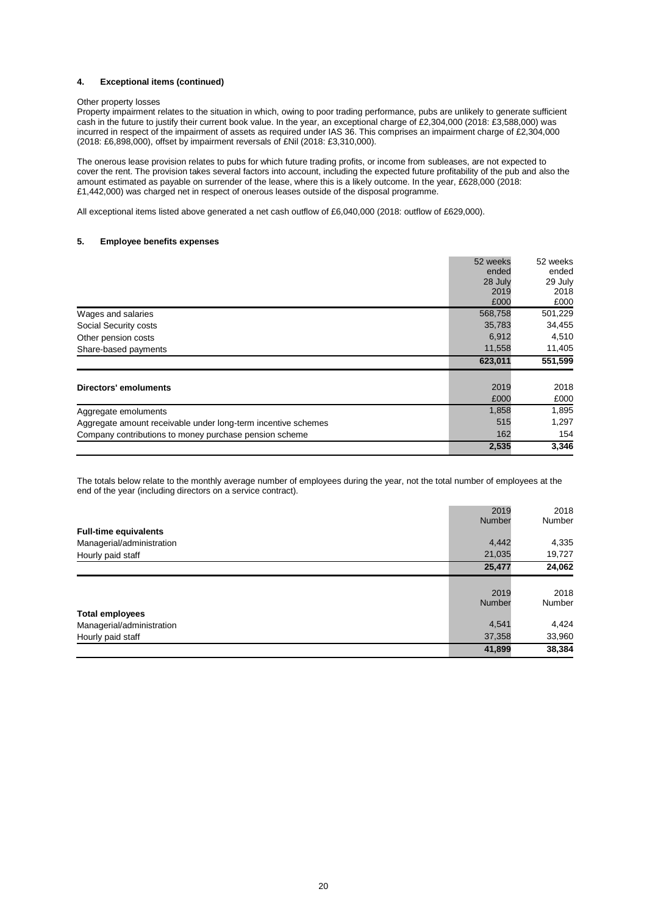#### **4. Exceptional items (continued)**

#### Other property losses

Property impairment relates to the situation in which, owing to poor trading performance, pubs are unlikely to generate sufficient cash in the future to justify their current book value. In the year, an exceptional charge of £2,304,000 (2018: £3,588,000) was incurred in respect of the impairment of assets as required under IAS 36. This comprises an impairment charge of £2,304,000 (2018: £6,898,000), offset by impairment reversals of £Nil (2018: £3,310,000).

The onerous lease provision relates to pubs for which future trading profits, or income from subleases, are not expected to cover the rent. The provision takes several factors into account, including the expected future profitability of the pub and also the amount estimated as payable on surrender of the lease, where this is a likely outcome. In the year, £628,000 (2018: £1,442,000) was charged net in respect of onerous leases outside of the disposal programme.

All exceptional items listed above generated a net cash outflow of £6,040,000 (2018: outflow of £629,000).

#### **5. Employee benefits expenses**

|                                                               | 52 weeks | 52 weeks |
|---------------------------------------------------------------|----------|----------|
|                                                               | ended    | ended    |
|                                                               | 28 July  | 29 July  |
|                                                               | 2019     | 2018     |
|                                                               | £000     | £000     |
| Wages and salaries                                            | 568,758  | 501,229  |
| Social Security costs                                         | 35,783   | 34,455   |
| Other pension costs                                           | 6,912    | 4,510    |
| Share-based payments                                          | 11,558   | 11,405   |
|                                                               | 623,011  | 551,599  |
| Directors' emoluments                                         | 2019     | 2018     |
|                                                               | £000     | £000     |
|                                                               |          |          |
| Aggregate emoluments                                          | 1,858    | 1,895    |
| Aggregate amount receivable under long-term incentive schemes | 515      | 1,297    |
| Company contributions to money purchase pension scheme        | 162      | 154      |

The totals below relate to the monthly average number of employees during the year, not the total number of employees at the end of the year (including directors on a service contract).

|                              | 2019<br>Number | 2018<br>Number |
|------------------------------|----------------|----------------|
| <b>Full-time equivalents</b> | 4,442          | 4,335          |
| Managerial/administration    |                |                |
| Hourly paid staff            | 21,035         | 19,727         |
|                              | 25,477         | 24,062         |
|                              |                |                |
|                              | 2019           | 2018           |
|                              | Number         | Number         |
| <b>Total employees</b>       |                |                |
| Managerial/administration    | 4,541          | 4,424          |
| Hourly paid staff            | 37,358         | 33,960         |
|                              | 41,899         | 38,384         |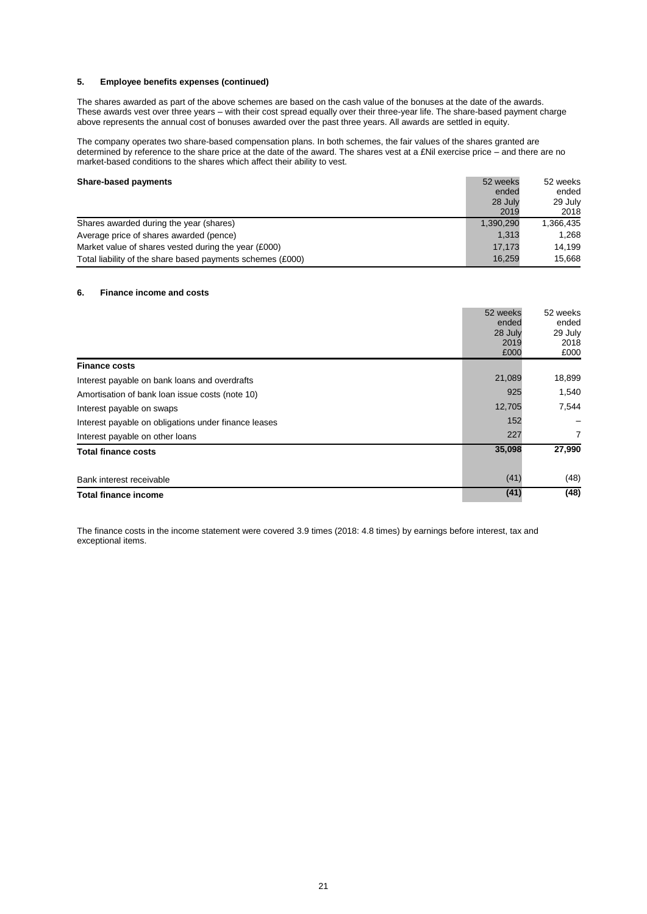#### **5. Employee benefits expenses (continued)**

The shares awarded as part of the above schemes are based on the cash value of the bonuses at the date of the awards. These awards vest over three years – with their cost spread equally over their three-year life. The share-based payment charge above represents the annual cost of bonuses awarded over the past three years. All awards are settled in equity.

The company operates two share-based compensation plans. In both schemes, the fair values of the shares granted are determined by reference to the share price at the date of the award. The shares vest at a £Nil exercise price – and there are no market-based conditions to the shares which affect their ability to vest.

#### **Share-based payments** 52 weeks 52 weeks

| $5.14.0$ $5.400$ $6.80$                                    |           | --------- |
|------------------------------------------------------------|-----------|-----------|
|                                                            | ended     | ended     |
|                                                            | 28 July   | 29 July   |
|                                                            | 2019      | 2018      |
| Shares awarded during the year (shares)                    | 1,390,290 | 1,366,435 |
| Average price of shares awarded (pence)                    | 1.313     | 1.268     |
| Market value of shares vested during the year (£000)       | 17.173    | 14.199    |
| Total liability of the share based payments schemes (£000) | 16,259    | 15,668    |
|                                                            |           |           |

#### **6. Finance income and costs**

|                                                      | 52 weeks<br>ended<br>28 July<br>2019<br>£000 | 52 weeks<br>ended<br>29 July<br>2018<br>£000 |
|------------------------------------------------------|----------------------------------------------|----------------------------------------------|
| <b>Finance costs</b>                                 |                                              |                                              |
| Interest payable on bank loans and overdrafts        | 21,089                                       | 18,899                                       |
| Amortisation of bank loan issue costs (note 10)      | 925                                          | 1,540                                        |
| Interest payable on swaps                            | 12,705                                       | 7,544                                        |
| Interest payable on obligations under finance leases | 152                                          |                                              |
| Interest payable on other loans                      | 227                                          | $\overline{7}$                               |
| <b>Total finance costs</b>                           | 35,098                                       | 27,990                                       |
| Bank interest receivable                             | (41)                                         | (48)                                         |
| <b>Total finance income</b>                          | (41)                                         | (48)                                         |

The finance costs in the income statement were covered 3.9 times (2018: 4.8 times) by earnings before interest, tax and exceptional items.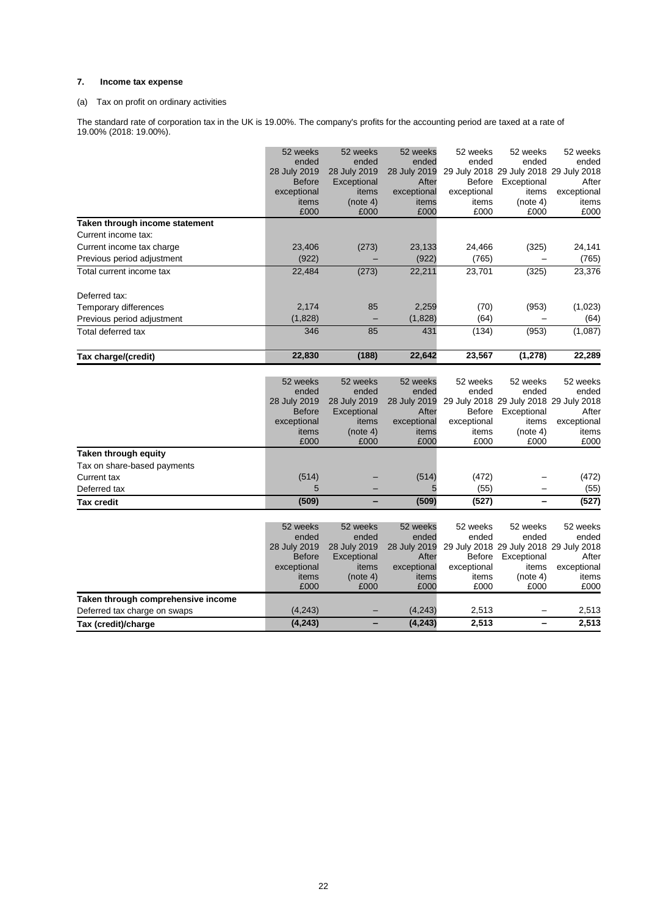# **7. Income tax expense**

# (a) Tax on profit on ordinary activities

The standard rate of corporation tax in the UK is 19.00%. The company's profits for the accounting period are taxed at a rate of 19.00% (2018: 19.00%).

|                                    | 52 weeks      | 52 weeks         | 52 weeks      | 52 weeks      | 52 weeks                               | 52 weeks      |
|------------------------------------|---------------|------------------|---------------|---------------|----------------------------------------|---------------|
|                                    | ended         | ended            | ended         | ended         | ended                                  | ended         |
|                                    | 28 July 2019  | 28 July 2019     | 28 July 2019  |               | 29 July 2018 29 July 2018 29 July 2018 |               |
|                                    | <b>Before</b> | Exceptional      | After         | Before        | Exceptional                            | After         |
|                                    | exceptional   | items            | exceptional   | exceptional   | items                                  | exceptional   |
|                                    | items         | (note 4)         | items         | items         | (note 4)                               | items         |
|                                    | £000          | £000             | £000          | £000          | £000                                   | £000          |
| Taken through income statement     |               |                  |               |               |                                        |               |
| Current income tax:                |               |                  |               |               |                                        |               |
| Current income tax charge          | 23,406        | (273)            | 23,133        | 24,466        | (325)                                  | 24,141        |
| Previous period adjustment         | (922)         |                  | (922)         | (765)         |                                        | (765)         |
| Total current income tax           | 22,484        | (273)            | 22,211        | 23,701        | (325)                                  | 23,376        |
| Deferred tax:                      |               |                  |               |               |                                        |               |
| Temporary differences              | 2,174         | 85               | 2,259         | (70)          | (953)                                  | (1,023)       |
| Previous period adjustment         | (1,828)       | ۳                | (1,828)       | (64)          |                                        | (64)          |
| Total deferred tax                 | 346           | 85               | 431           | (134)         | (953)                                  | (1,087)       |
| Tax charge/(credit)                | 22,830        | (188)            | 22,642        | 23,567        | (1, 278)                               | 22,289        |
|                                    |               |                  |               |               |                                        |               |
|                                    | 52 weeks      | 52 weeks         | 52 weeks      | 52 weeks      | 52 weeks                               | 52 weeks      |
|                                    | ended         | ended            | ended         | ended         | ended                                  | ended         |
|                                    | 28 July 2019  | 28 July 2019     | 28 July 2019  |               | 29 July 2018 29 July 2018 29 July 2018 |               |
|                                    | <b>Before</b> | Exceptional      | After         | <b>Before</b> | Exceptional                            | After         |
|                                    | exceptional   | items            | exceptional   | exceptional   | items                                  | exceptional   |
|                                    | items         | (note 4)         | items         | items         | (note 4)                               | items         |
|                                    | £000          | £000             | £000          | £000          | £000                                   | £000          |
| Taken through equity               |               |                  |               |               |                                        |               |
| Tax on share-based payments        |               |                  |               |               |                                        |               |
| Current tax                        | (514)         |                  | (514)         | (472)         |                                        | (472)         |
| Deferred tax                       | 5             |                  | 5             | (55)          |                                        | (55)          |
| <b>Tax credit</b>                  | (509)         |                  | (509)         | (527)         |                                        | (527)         |
|                                    |               |                  |               |               |                                        |               |
|                                    | 52 weeks      | 52 weeks         | 52 weeks      | 52 weeks      | 52 weeks                               | 52 weeks      |
|                                    | ended         | ended            | ended         | ended         | ended                                  | ended         |
|                                    | 28 July 2019  | 28 July 2019     | 28 July 2019  |               | 29 July 2018 29 July 2018 29 July 2018 |               |
|                                    | <b>Before</b> | Exceptional      | After         | Before        | Exceptional                            | After         |
|                                    | exceptional   | items            | exceptional   | exceptional   | items                                  | exceptional   |
|                                    | items<br>£000 | (note 4)<br>£000 | items<br>£000 | items<br>£000 | (note 4)<br>£000                       | items<br>£000 |
| Taken through comprehensive income |               |                  |               |               |                                        |               |
| Deferred tax charge on swaps       | (4, 243)      |                  | (4, 243)      | 2,513         |                                        | 2,513         |
| Tax (credit)/charge                | (4, 243)      |                  | (4, 243)      | 2,513         |                                        | 2,513         |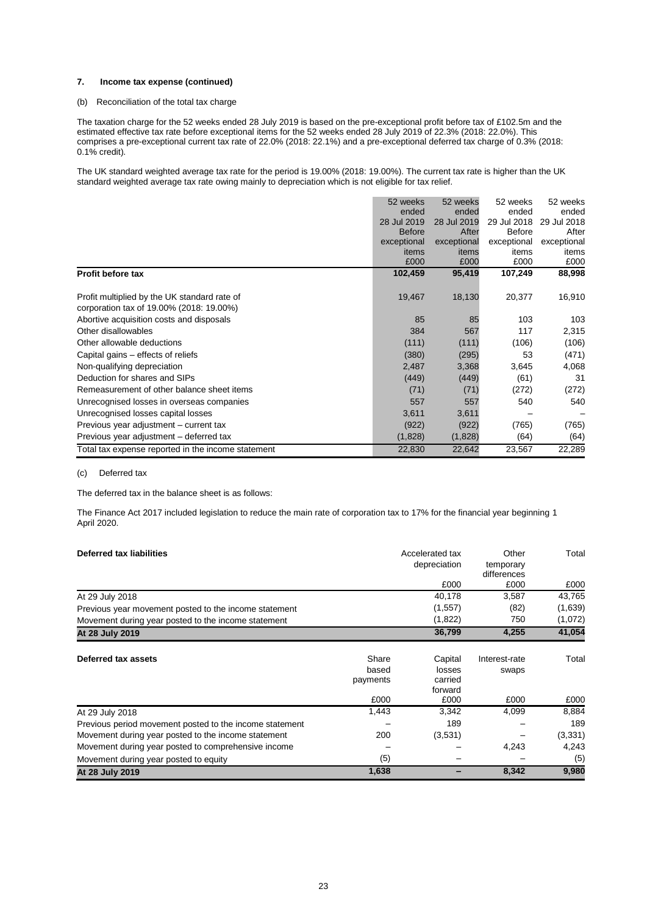#### **7. Income tax expense (continued)**

### (b) Reconciliation of the total tax charge

The taxation charge for the 52 weeks ended 28 July 2019 is based on the pre-exceptional profit before tax of £102.5m and the estimated effective tax rate before exceptional items for the 52 weeks ended 28 July 2019 of 22.3% (2018: 22.0%). This comprises a pre-exceptional current tax rate of 22.0% (2018: 22.1%) and a pre-exceptional deferred tax charge of 0.3% (2018: 0.1% credit).

The UK standard weighted average tax rate for the period is 19.00% (2018: 19.00%). The current tax rate is higher than the UK standard weighted average tax rate owing mainly to depreciation which is not eligible for tax relief.

|                                                    | 52 weeks      | 52 weeks    | 52 weeks      | 52 weeks    |
|----------------------------------------------------|---------------|-------------|---------------|-------------|
|                                                    | ended         | ended       | ended         | ended       |
|                                                    | 28 Jul 2019   | 28 Jul 2019 | 29 Jul 2018   | 29 Jul 2018 |
|                                                    | <b>Before</b> | After       | <b>Before</b> | After       |
|                                                    | exceptional   | exceptional | exceptional   | exceptional |
|                                                    | items         | items       | items         | items       |
|                                                    | £000          | £000        | £000          | £000        |
| <b>Profit before tax</b>                           | 102,459       | 95,419      | 107,249       | 88,998      |
|                                                    |               |             |               |             |
| Profit multiplied by the UK standard rate of       | 19,467        | 18,130      | 20,377        | 16,910      |
| corporation tax of 19.00% (2018: 19.00%)           |               |             |               |             |
| Abortive acquisition costs and disposals           | 85            | 85          | 103           | 103         |
| Other disallowables                                | 384           | 567         | 117           | 2,315       |
| Other allowable deductions                         | (111)         | (111)       | (106)         | (106)       |
| Capital gains – effects of reliefs                 | (380)         | (295)       | 53            | (471)       |
| Non-qualifying depreciation                        | 2,487         | 3,368       | 3,645         | 4,068       |
| Deduction for shares and SIPs                      | (449)         | (449)       | (61)          | 31          |
| Remeasurement of other balance sheet items         | (71)          | (71)        | (272)         | (272)       |
| Unrecognised losses in overseas companies          | 557           | 557         | 540           | 540         |
| Unrecognised losses capital losses                 | 3,611         | 3,611       |               |             |
| Previous year adjustment - current tax             | (922)         | (922)       | (765)         | (765)       |
| Previous year adjustment - deferred tax            | (1,828)       | (1,828)     | (64)          | (64)        |
| Total tax expense reported in the income statement | 22,830        | 22,642      | 23,567        | 22,289      |

# (c) Deferred tax

The deferred tax in the balance sheet is as follows:

The Finance Act 2017 included legislation to reduce the main rate of corporation tax to 17% for the financial year beginning 1 April 2020.

| Deferred tax liabilities                                |          | Accelerated tax | Other                    | Total   |
|---------------------------------------------------------|----------|-----------------|--------------------------|---------|
|                                                         |          | depreciation    | temporary<br>differences |         |
|                                                         |          | £000            | £000                     | £000    |
| At 29 July 2018                                         |          | 40,178          | 3,587                    | 43,765  |
| Previous year movement posted to the income statement   |          | (1,557)         | (82)                     | (1,639) |
| Movement during year posted to the income statement     |          | (1,822)         | 750                      | (1,072) |
| At 28 July 2019                                         |          | 36,799          | 4,255                    | 41,054  |
| Deferred tax assets                                     | Share    | Capital         | Interest-rate            | Total   |
|                                                         | based    | losses          | swaps                    |         |
|                                                         | payments | carried         |                          |         |
|                                                         |          | forward         |                          |         |
|                                                         | £000     | £000            | £000                     | £000    |
| At 29 July 2018                                         | 1,443    | 3,342           | 4,099                    | 8,884   |
| Previous period movement posted to the income statement |          | 189             |                          | 189     |
| Movement during year posted to the income statement     | 200      | (3,531)         |                          | (3,331) |
| Movement during year posted to comprehensive income     |          |                 | 4,243                    | 4,243   |
| Movement during year posted to equity                   | (5)      |                 |                          | (5)     |
| At 28 July 2019                                         | 1,638    |                 | 8,342                    | 9,980   |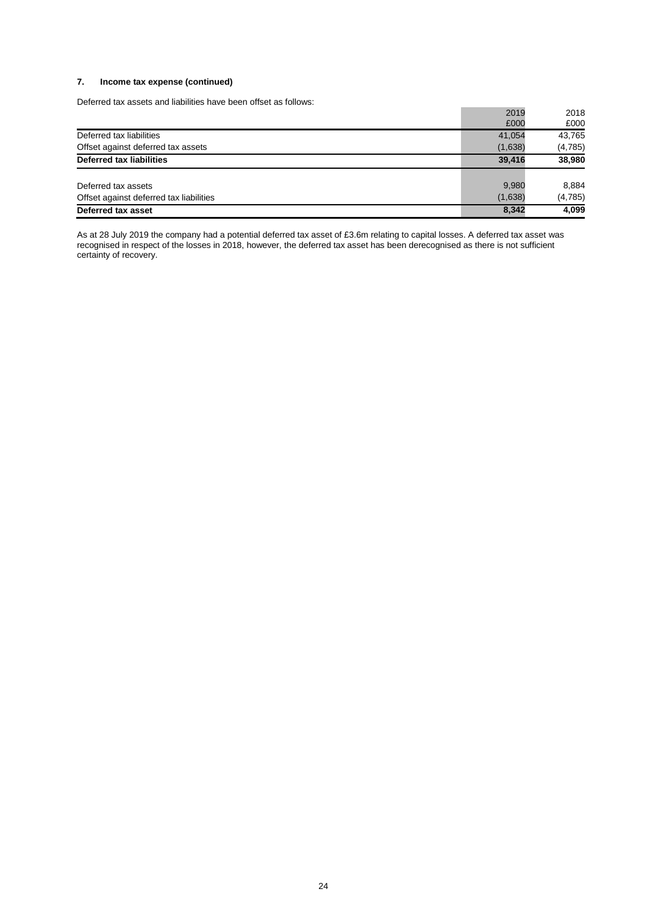# **7. Income tax expense (continued)**

Deferred tax assets and liabilities have been offset as follows:

| Deferred tax asset                      | 8,342   | 4,099   |
|-----------------------------------------|---------|---------|
| Offset against deferred tax liabilities | (1,638) | (4,785) |
| Deferred tax assets                     | 9,980   | 8,884   |
| <b>Deferred tax liabilities</b>         | 39.416  | 38,980  |
| Offset against deferred tax assets      | (1,638) | (4,785) |
| Deferred tax liabilities                | 41,054  | 43,765  |
|                                         | £000    | £000    |
|                                         | 2019    | 2018    |

As at 28 July 2019 the company had a potential deferred tax asset of £3.6m relating to capital losses. A deferred tax asset was recognised in respect of the losses in 2018, however, the deferred tax asset has been derecognised as there is not sufficient certainty of recovery.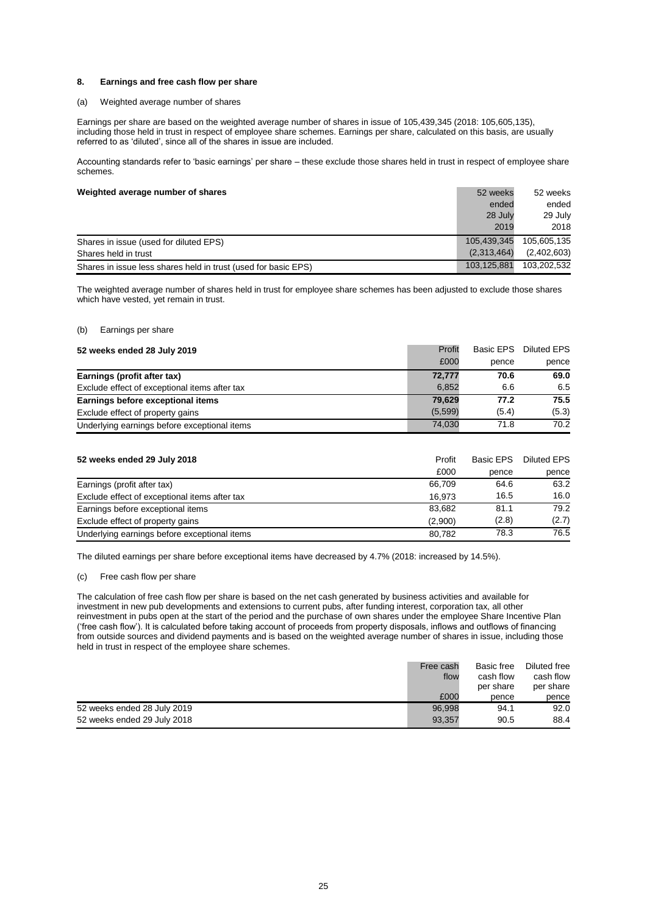#### **8. Earnings and free cash flow per share**

#### (a) Weighted average number of shares

Earnings per share are based on the weighted average number of shares in issue of 105,439,345 (2018: 105,605,135), including those held in trust in respect of employee share schemes. Earnings per share, calculated on this basis, are usually referred to as 'diluted', since all of the shares in issue are included.

Accounting standards refer to 'basic earnings' per share – these exclude those shares held in trust in respect of employee share schemes.

# **Weighted average number of shares** 52 weeks 52 weeks 52 weeks 52 weeks 52 weeks 52 weeks 52 weeks 52 weeks 52 weeks 52 weeks 52 weeks 52 weeks 52 weeks 52 weeks 52 weeks 52 weeks 52 weeks 52 weeks 52 weeks 52 weeks 52 wee

| <b>Treighted average Humber Of Shares</b>                      | <u>JZ WUTNJ</u> | JZ WUUNG    |
|----------------------------------------------------------------|-----------------|-------------|
|                                                                | ended           | ended       |
|                                                                | 28 July         | 29 July     |
|                                                                | 2019            | 2018        |
| Shares in issue (used for diluted EPS)                         | 105.439.345     | 105.605.135 |
| Shares held in trust                                           | (2.313.464)     | (2,402,603) |
| Shares in issue less shares held in trust (used for basic EPS) | 103,125,881     | 103.202.532 |

The weighted average number of shares held in trust for employee share schemes has been adjusted to exclude those shares which have vested, yet remain in trust.

#### (b) Earnings per share

| 52 weeks ended 28 July 2019                   | Profit  | Basic EPS | Diluted EPS |
|-----------------------------------------------|---------|-----------|-------------|
|                                               | £000    | pence     | pence       |
| Earnings (profit after tax)                   | 72,777  | 70.6      | 69.0        |
| Exclude effect of exceptional items after tax | 6,852   | 6.6       | 6.5         |
| Earnings before exceptional items             | 79.629  | 77.2      | 75.5        |
| Exclude effect of property gains              | (5.599) | (5.4)     | (5.3)       |
| Underlying earnings before exceptional items  | 74,030  | 71.8      | 70.2        |

| 52 weeks ended 29 July 2018                   | Profit  | Basic EPS | Diluted EPS |
|-----------------------------------------------|---------|-----------|-------------|
|                                               | £000    | pence     | pence       |
| Earnings (profit after tax)                   | 66.709  | 64.6      | 63.2        |
| Exclude effect of exceptional items after tax | 16.973  | 16.5      | 16.0        |
| Earnings before exceptional items             | 83.682  | 81.1      | 79.2        |
| Exclude effect of property gains              | (2,900) | (2.8)     | (2.7)       |
| Underlying earnings before exceptional items  | 80.782  | 78.3      | 76.5        |

The diluted earnings per share before exceptional items have decreased by 4.7% (2018: increased by 14.5%).

#### (c) Free cash flow per share

The calculation of free cash flow per share is based on the net cash generated by business activities and available for investment in new pub developments and extensions to current pubs, after funding interest, corporation tax, all other reinvestment in pubs open at the start of the period and the purchase of own shares under the employee Share Incentive Plan ('free cash flow'). It is calculated before taking account of proceeds from property disposals, inflows and outflows of financing from outside sources and dividend payments and is based on the weighted average number of shares in issue, including those held in trust in respect of the employee share schemes.

|                             | Free cash | Basic free | Diluted free |
|-----------------------------|-----------|------------|--------------|
|                             | flow      | cash flow  | cash flow    |
|                             |           | per share  | per share    |
|                             | £000      | pence      | pence        |
| 52 weeks ended 28 July 2019 | 96.998    | 94.1       | 92.0         |
| 52 weeks ended 29 July 2018 | 93,357    | 90.5       | 88.4         |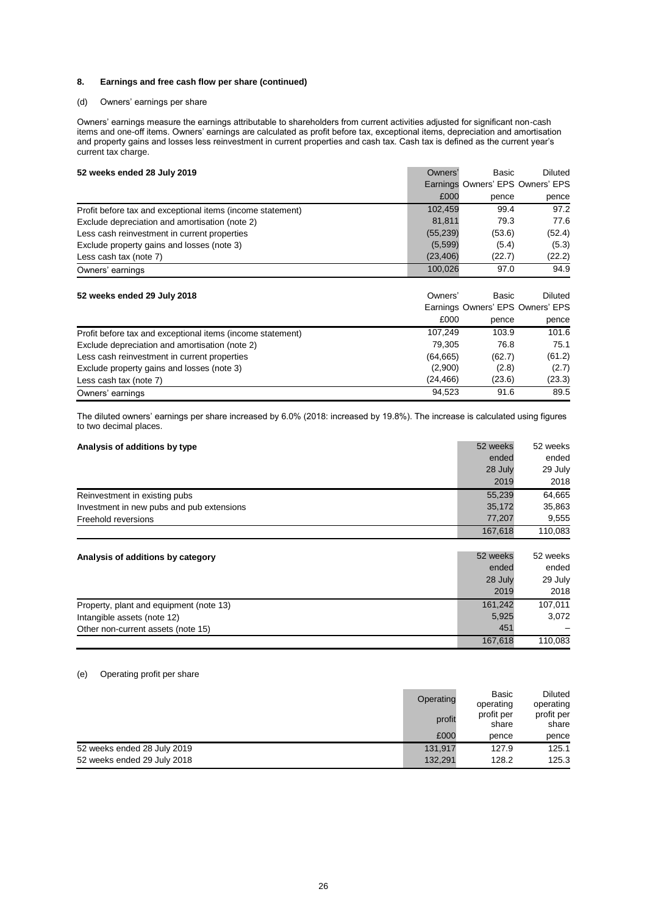#### **8. Earnings and free cash flow per share (continued)**

#### (d) Owners' earnings per share

Owners' earnings measure the earnings attributable to shareholders from current activities adjusted for significant non-cash items and one-off items. Owners' earnings are calculated as profit before tax, exceptional items, depreciation and amortisation and property gains and losses less reinvestment in current properties and cash tax. Cash tax is defined as the current year's current tax charge.

| 52 weeks ended 28 July 2019                                | Owners'   | Basic                            | Diluted |
|------------------------------------------------------------|-----------|----------------------------------|---------|
|                                                            |           | Earnings Owners' EPS Owners' EPS |         |
|                                                            | £000      | pence                            | pence   |
| Profit before tax and exceptional items (income statement) | 102,459   | 99.4                             | 97.2    |
| Exclude depreciation and amortisation (note 2)             | 81,811    | 79.3                             | 77.6    |
| Less cash reinvestment in current properties               | (55, 239) | (53.6)                           | (52.4)  |
| Exclude property gains and losses (note 3)                 | (5,599)   | (5.4)                            | (5.3)   |
| Less cash tax (note 7)                                     | (23, 406) | (22.7)                           | (22.2)  |
| Owners' earnings                                           | 100,026   | 97.0                             | 94.9    |
| 52 weeks ended 29 July 2018                                | Owners'   | Basic                            | Diluted |
|                                                            |           | Earnings Owners' EPS Owners' EPS |         |
|                                                            | £000      | pence                            | pence   |
| Profit before tax and exceptional items (income statement) | 107,249   | 103.9                            | 101.6   |
| Exclude depreciation and amortisation (note 2)             | 79,305    | 76.8                             | 75.1    |
| Less cash reinvestment in current properties               | (64, 665) | (62.7)                           | (61.2)  |
| Exclude property gains and losses (note 3)                 | (2,900)   | (2.8)                            | (2.7)   |
| Less cash tax (note 7)                                     | (24, 466) | (23.6)                           | (23.3)  |

The diluted owners' earnings per share increased by 6.0% (2018: increased by 19.8%). The increase is calculated using figures to two decimal places.

Owners' earnings 89.5

| Analysis of additions by type             | 52 weeks | 52 weeks |
|-------------------------------------------|----------|----------|
|                                           | ended    | ended    |
|                                           | 28 July  | 29 July  |
|                                           | 2019     | 2018     |
| Reinvestment in existing pubs             | 55,239   | 64,665   |
| Investment in new pubs and pub extensions | 35,172   | 35,863   |
| Freehold reversions                       | 77,207   | 9,555    |
|                                           | 167,618  | 110,083  |

| Analysis of additions by category       | 52 weeks | 52 weeks |
|-----------------------------------------|----------|----------|
|                                         | ended    | ended    |
|                                         | 28 July  | 29 July  |
|                                         | 2019     | 2018     |
| Property, plant and equipment (note 13) | 161.242  | 107.011  |
| Intangible assets (note 12)             | 5,925    | 3.072    |
| Other non-current assets (note 15)      | 451      |          |
|                                         | 167,618  | 110.083  |

# (e) Operating profit per share

|                             | Operating | Basic<br>operating  | <b>Diluted</b><br>operating |
|-----------------------------|-----------|---------------------|-----------------------------|
|                             | profit    | profit per<br>share | profit per<br>share         |
|                             | £000      | pence               | pence                       |
| 52 weeks ended 28 July 2019 | 131.917   | 127.9               | 125.1                       |
| 52 weeks ended 29 July 2018 | 132.291   | 128.2               | 125.3                       |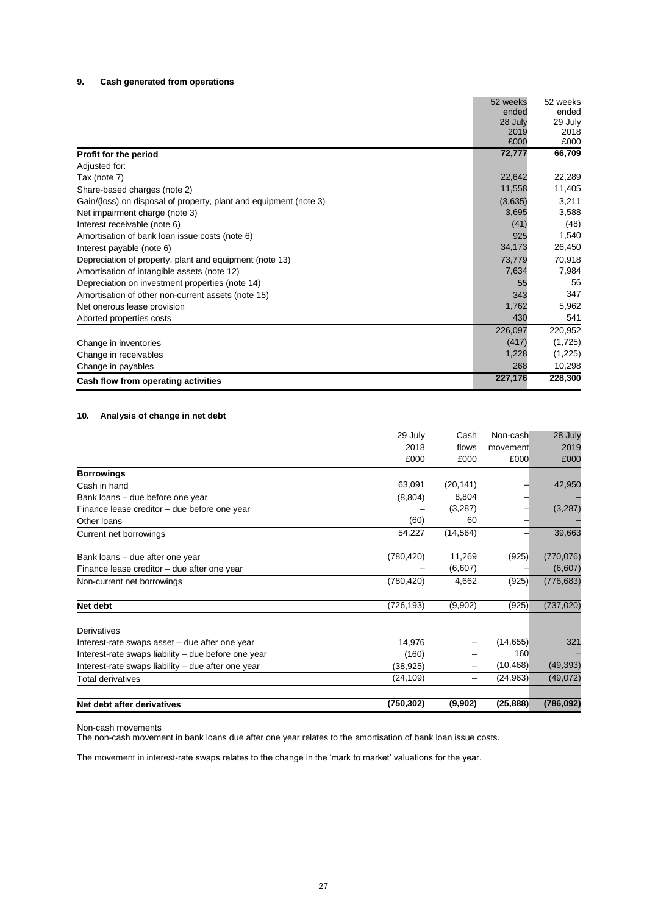# **9. Cash generated from operations**

|                                                                   | 52 weeks | 52 weeks |
|-------------------------------------------------------------------|----------|----------|
|                                                                   | ended    | ended    |
|                                                                   | 28 July  | 29 July  |
|                                                                   | 2019     | 2018     |
|                                                                   | £000     | £000     |
| Profit for the period                                             | 72,777   | 66,709   |
| Adjusted for:                                                     |          |          |
| Tax (note 7)                                                      | 22,642   | 22,289   |
| Share-based charges (note 2)                                      | 11,558   | 11,405   |
| Gain/(loss) on disposal of property, plant and equipment (note 3) | (3,635)  | 3,211    |
| Net impairment charge (note 3)                                    | 3,695    | 3,588    |
| Interest receivable (note 6)                                      | (41)     | (48)     |
| Amortisation of bank loan issue costs (note 6)                    | 925      | 1,540    |
| Interest payable (note 6)                                         | 34,173   | 26,450   |
| Depreciation of property, plant and equipment (note 13)           | 73,779   | 70,918   |
| Amortisation of intangible assets (note 12)                       | 7,634    | 7,984    |
| Depreciation on investment properties (note 14)                   | 55       | 56       |
| Amortisation of other non-current assets (note 15)                | 343      | 347      |
| Net onerous lease provision                                       | 1,762    | 5,962    |
| Aborted properties costs                                          | 430      | 541      |
|                                                                   | 226,097  | 220,952  |
| Change in inventories                                             | (417)    | (1,725)  |
| Change in receivables                                             | 1,228    | (1,225)  |
| Change in payables                                                | 268      | 10,298   |
| Cash flow from operating activities                               | 227,176  | 228,300  |

# **10. Analysis of change in net debt**

|                                                     | 29 July<br>2018<br>£000 | Cash<br>flows<br>£000 | Non-cash<br>movement<br>£000 | 28 July<br>2019<br>£000 |
|-----------------------------------------------------|-------------------------|-----------------------|------------------------------|-------------------------|
|                                                     |                         |                       |                              |                         |
| <b>Borrowings</b>                                   |                         |                       |                              |                         |
| Cash in hand                                        | 63,091                  | (20, 141)             |                              | 42,950                  |
| Bank loans - due before one year                    | (8,804)                 | 8,804                 |                              |                         |
| Finance lease creditor - due before one year        |                         | (3,287)               |                              | (3,287)                 |
| Other loans                                         | (60)                    | 60                    |                              |                         |
| Current net borrowings                              | 54,227                  | (14, 564)             |                              | 39,663                  |
| Bank loans – due after one year                     | (780, 420)              | 11,269                | (925)                        | (770, 076)              |
| Finance lease creditor - due after one year         |                         | (6,607)               |                              | (6,607)                 |
| Non-current net borrowings                          | (780,420)               | 4,662                 | (925)                        | (776, 683)              |
| Net debt                                            | (726, 193)              | (9,902)               | (925)                        | (737, 020)              |
| Derivatives                                         |                         |                       |                              |                         |
| Interest-rate swaps asset – due after one year      | 14,976                  |                       | (14, 655)                    | 321                     |
| Interest-rate swaps liability - due before one year | (160)                   |                       | 160                          |                         |
| Interest-rate swaps liability - due after one year  | (38, 925)               |                       | (10,468)                     | (49, 393)               |
| Total derivatives                                   | (24, 109)               |                       | (24, 963)                    | (49,072)                |
| Net debt after derivatives                          | (750, 302)              | (9,902)               | (25, 888)                    | (786, 092)              |

Non-cash movements

The non-cash movement in bank loans due after one year relates to the amortisation of bank loan issue costs.

The movement in interest-rate swaps relates to the change in the 'mark to market' valuations for the year.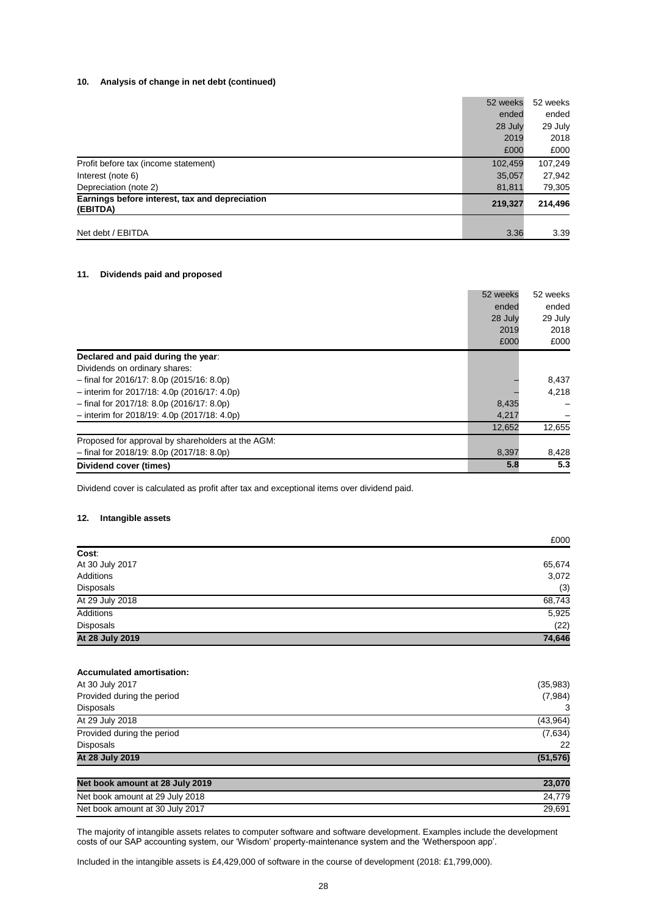#### **10. Analysis of change in net debt (continued)**

|                                                            | 52 weeks | 52 weeks |
|------------------------------------------------------------|----------|----------|
|                                                            | ended    | ended    |
|                                                            | 28 July  | 29 July  |
|                                                            | 2019     | 2018     |
|                                                            | £000     | £000     |
| Profit before tax (income statement)                       | 102,459  | 107,249  |
| Interest (note 6)                                          | 35,057   | 27,942   |
| Depreciation (note 2)                                      | 81,811   | 79,305   |
| Earnings before interest, tax and depreciation<br>(EBITDA) | 219,327  | 214,496  |
|                                                            |          |          |
| Net debt / EBITDA                                          | 3.36     | 3.39     |

#### **11. Dividends paid and proposed**

|                                                   | 52 weeks | 52 weeks |
|---------------------------------------------------|----------|----------|
|                                                   | ended    | ended    |
|                                                   | 28 July  | 29 July  |
|                                                   | 2019     | 2018     |
|                                                   | £000     | £000     |
| Declared and paid during the year:                |          |          |
| Dividends on ordinary shares:                     |          |          |
| $-$ final for 2016/17: 8.0p (2015/16: 8.0p)       |          | 8,437    |
| $-$ interim for 2017/18: 4.0p (2016/17: 4.0p)     |          | 4.218    |
| $-$ final for 2017/18: 8.0p (2016/17: 8.0p)       | 8,435    |          |
| $-$ interim for 2018/19: 4.0p (2017/18: 4.0p)     | 4,217    |          |
|                                                   | 12,652   | 12,655   |
| Proposed for approval by shareholders at the AGM: |          |          |
| $-$ final for 2018/19: 8.0p (2017/18: 8.0p)       | 8,397    | 8,428    |
| Dividend cover (times)                            | 5.8      | 5.3      |

Dividend cover is calculated as profit after tax and exceptional items over dividend paid.

# **12. Intangible assets**

|                 | £000   |
|-----------------|--------|
| Cost:           |        |
| At 30 July 2017 | 65,674 |
| Additions       | 3,072  |
| Disposals       | (3)    |
| At 29 July 2018 | 68,743 |
| Additions       | 5,925  |
| Disposals       | (22)   |
| At 28 July 2019 | 74,646 |

#### **Accumulated amortisation:**

| At 30 July 2017                 | (35,983)  |
|---------------------------------|-----------|
| Provided during the period      | (7,984)   |
| Disposals                       | 3         |
| At 29 July 2018                 | (43,964)  |
| Provided during the period      | (7,634)   |
| <b>Disposals</b>                | 22        |
| At 28 July 2019                 | (51, 576) |
| Net book amount at 28 July 2019 | 23,070    |
| Net book amount at 29 July 2018 | 24.779    |

Net book amount at 30 July 2017 29,691 The majority of intangible assets relates to computer software and software development. Examples include the development

costs of our SAP accounting system, our 'Wisdom' property-maintenance system and the 'Wetherspoon app'.

Included in the intangible assets is £4,429,000 of software in the course of development (2018: £1,799,000).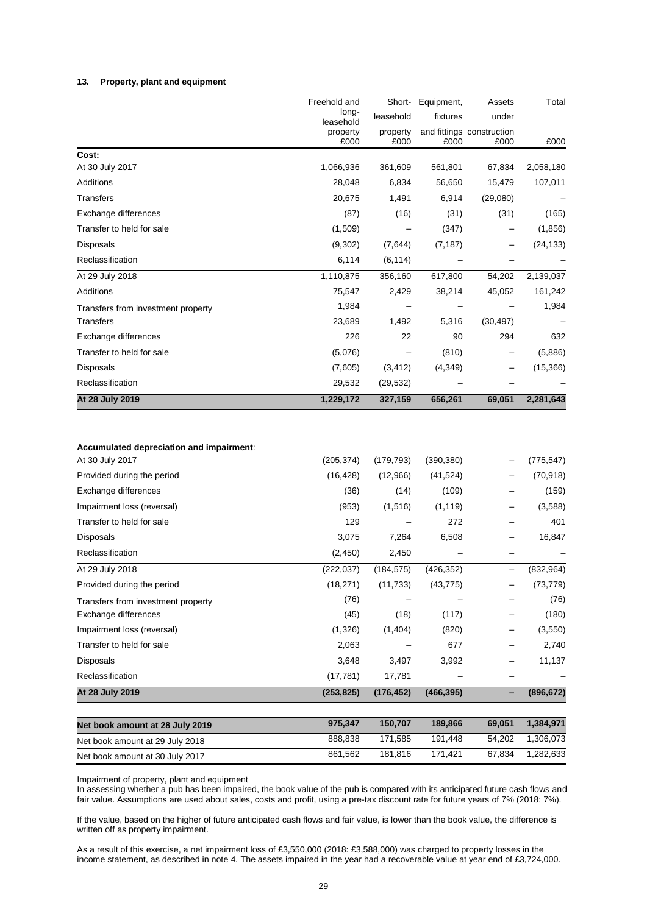#### **13. Property, plant and equipment**

|                                                             | Freehold and       |                  | Short- Equipment, | Assets                            | Total      |
|-------------------------------------------------------------|--------------------|------------------|-------------------|-----------------------------------|------------|
|                                                             | long-<br>leasehold | leasehold        | fixtures          | under                             |            |
|                                                             | property<br>£000   | property<br>£000 | £000              | and fittings construction<br>£000 | £000       |
| Cost:                                                       |                    |                  |                   |                                   |            |
| At 30 July 2017                                             | 1,066,936          | 361,609          | 561,801           | 67,834                            | 2,058,180  |
| Additions                                                   | 28,048             | 6,834            | 56,650            | 15,479                            | 107,011    |
| <b>Transfers</b>                                            | 20,675             | 1,491            | 6,914             | (29,080)                          |            |
| Exchange differences                                        | (87)               | (16)             | (31)              | (31)                              | (165)      |
| Transfer to held for sale                                   | (1,509)            |                  | (347)             |                                   | (1,856)    |
| <b>Disposals</b>                                            | (9,302)            | (7,644)          | (7, 187)          |                                   | (24, 133)  |
| Reclassification                                            | 6,114              | (6, 114)         |                   |                                   |            |
| At 29 July 2018                                             | 1,110,875          | 356,160          | 617,800           | 54,202                            | 2,139,037  |
| Additions                                                   | 75,547             | 2,429            | 38,214            | 45,052                            | 161,242    |
| Transfers from investment property                          | 1,984              |                  |                   |                                   | 1,984      |
| <b>Transfers</b>                                            | 23,689             | 1,492            | 5,316             | (30, 497)                         |            |
| Exchange differences                                        | 226                | 22               | 90                | 294                               | 632        |
| Transfer to held for sale                                   | (5,076)            |                  | (810)             |                                   | (5,886)    |
| <b>Disposals</b>                                            | (7,605)            | (3, 412)         | (4,349)           |                                   | (15,366)   |
| Reclassification                                            | 29,532             | (29, 532)        |                   |                                   |            |
| At 28 July 2019                                             | 1,229,172          | 327,159          | 656,261           | 69,051                            | 2,281,643  |
| Accumulated depreciation and impairment:<br>At 30 July 2017 | (205, 374)         | (179, 793)       | (390, 380)        |                                   | (775, 547) |
|                                                             |                    |                  |                   |                                   |            |
| Provided during the period                                  | (16, 428)          | (12,966)         | (41, 524)         |                                   | (70, 918)  |
| Exchange differences                                        | (36)               | (14)             | (109)             |                                   | (159)      |
| Impairment loss (reversal)                                  | (953)              | (1,516)          | (1, 119)          |                                   | (3,588)    |
| Transfer to held for sale                                   | 129                |                  | 272               |                                   | 401        |
| <b>Disposals</b>                                            | 3,075              | 7,264            | 6,508             |                                   | 16,847     |
| Reclassification                                            | (2, 450)           | 2,450            |                   | —                                 |            |
| At 29 July 2018                                             | (222, 037)         | (184, 575)       | (426, 352)        | $\qquad \qquad -$                 | (832, 964) |
| Provided during the period                                  | (18, 271)          | (11, 733)        | (43, 775)         |                                   | (73, 779)  |
| Transfers from investment property                          | (76)               |                  |                   |                                   | (76)       |
| Exchange differences                                        | (45)               | (18)             | (117)             |                                   | (180)      |
| Impairment loss (reversal)                                  | (1,326)            | (1,404)          | (820)             |                                   | (3, 550)   |
| Transfer to held for sale                                   | 2,063              |                  | 677               |                                   | 2,740      |
| Disposals                                                   | 3,648              | 3,497            | 3,992             |                                   | 11,137     |
| Reclassification                                            | (17, 781)          | 17,781           |                   | —                                 |            |
| At 28 July 2019                                             | (253, 825)         | (176, 452)       | (466, 395)        | $\overline{\phantom{0}}$          | (896, 672) |
| Net book amount at 28 July 2019                             | 975,347            | 150,707          | 189,866           | 69,051                            | 1,384,971  |
| Net book amount at 29 July 2018                             | 888,838            | 171,585          | 191,448           | 54,202                            | 1,306,073  |
| Net book amount at 30 July 2017                             | 861,562            | 181,816          | 171,421           | 67,834                            | 1,282,633  |

Impairment of property, plant and equipment

In assessing whether a pub has been impaired, the book value of the pub is compared with its anticipated future cash flows and fair value. Assumptions are used about sales, costs and profit, using a pre-tax discount rate for future years of 7% (2018: 7%).

If the value, based on the higher of future anticipated cash flows and fair value, is lower than the book value, the difference is written off as property impairment.

As a result of this exercise, a net impairment loss of £3,550,000 (2018: £3,588,000) was charged to property losses in the income statement, as described in note 4. The assets impaired in the year had a recoverable value at year end of £3,724,000.